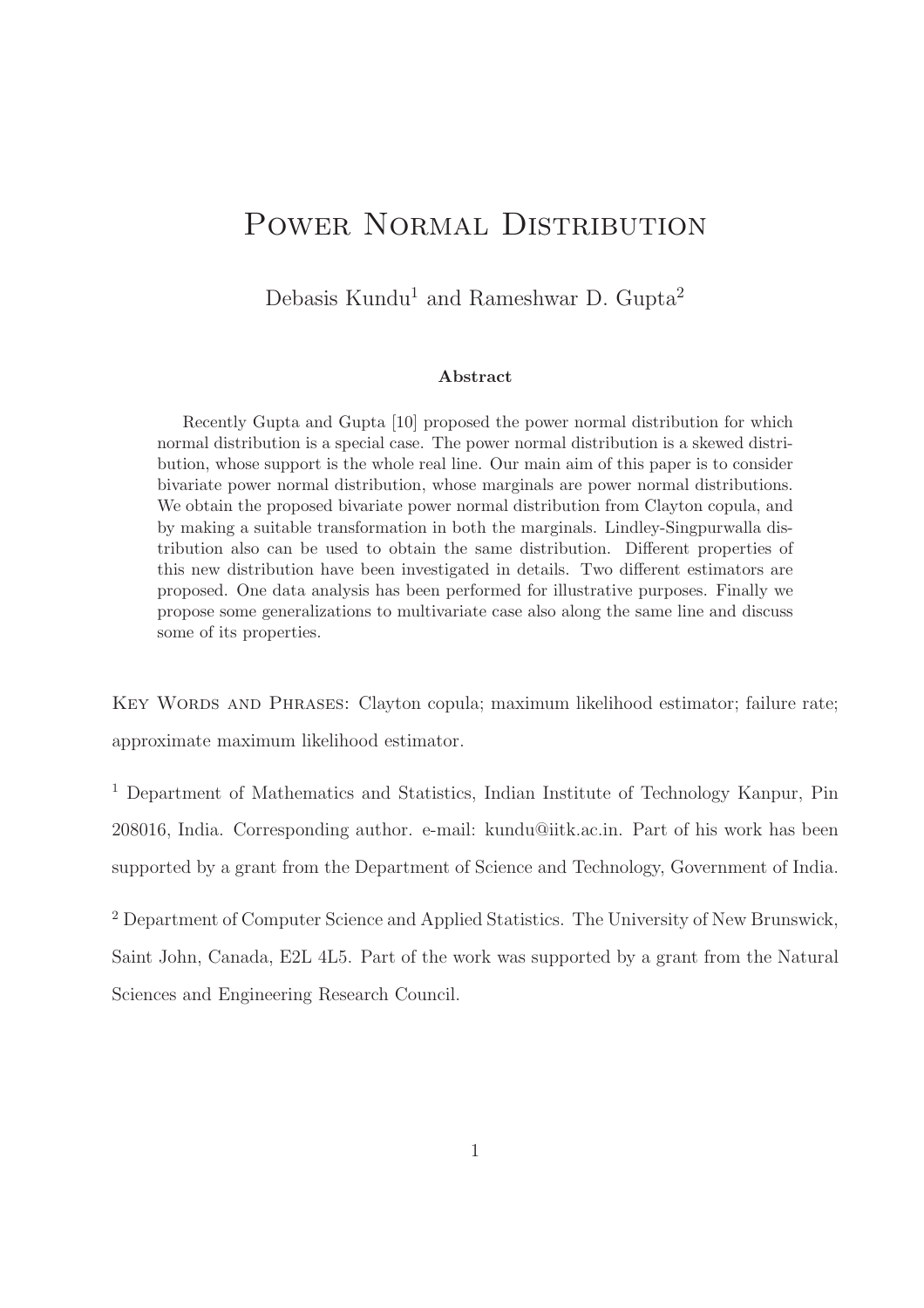# POWER NORMAL DISTRIBUTION

Debasis Kundu<sup>1</sup> and Rameshwar D. Gupta<sup>2</sup>

#### Abstract

Recently Gupta and Gupta [10] proposed the power normal distribution for which normal distribution is a special case. The power normal distribution is a skewed distribution, whose support is the whole real line. Our main aim of this paper is to consider bivariate power normal distribution, whose marginals are power normal distributions. We obtain the proposed bivariate power normal distribution from Clayton copula, and by making a suitable transformation in both the marginals. Lindley-Singpurwalla distribution also can be used to obtain the same distribution. Different properties of this new distribution have been investigated in details. Two different estimators are proposed. One data analysis has been performed for illustrative purposes. Finally we propose some generalizations to multivariate case also along the same line and discuss some of its properties.

KEY WORDS AND PHRASES: Clayton copula; maximum likelihood estimator; failure rate; approximate maximum likelihood estimator.

<sup>1</sup> Department of Mathematics and Statistics, Indian Institute of Technology Kanpur, Pin 208016, India. Corresponding author. e-mail: kundu@iitk.ac.in. Part of his work has been supported by a grant from the Department of Science and Technology, Government of India.

<sup>2</sup> Department of Computer Science and Applied Statistics. The University of New Brunswick, Saint John, Canada, E2L 4L5. Part of the work was supported by a grant from the Natural Sciences and Engineering Research Council.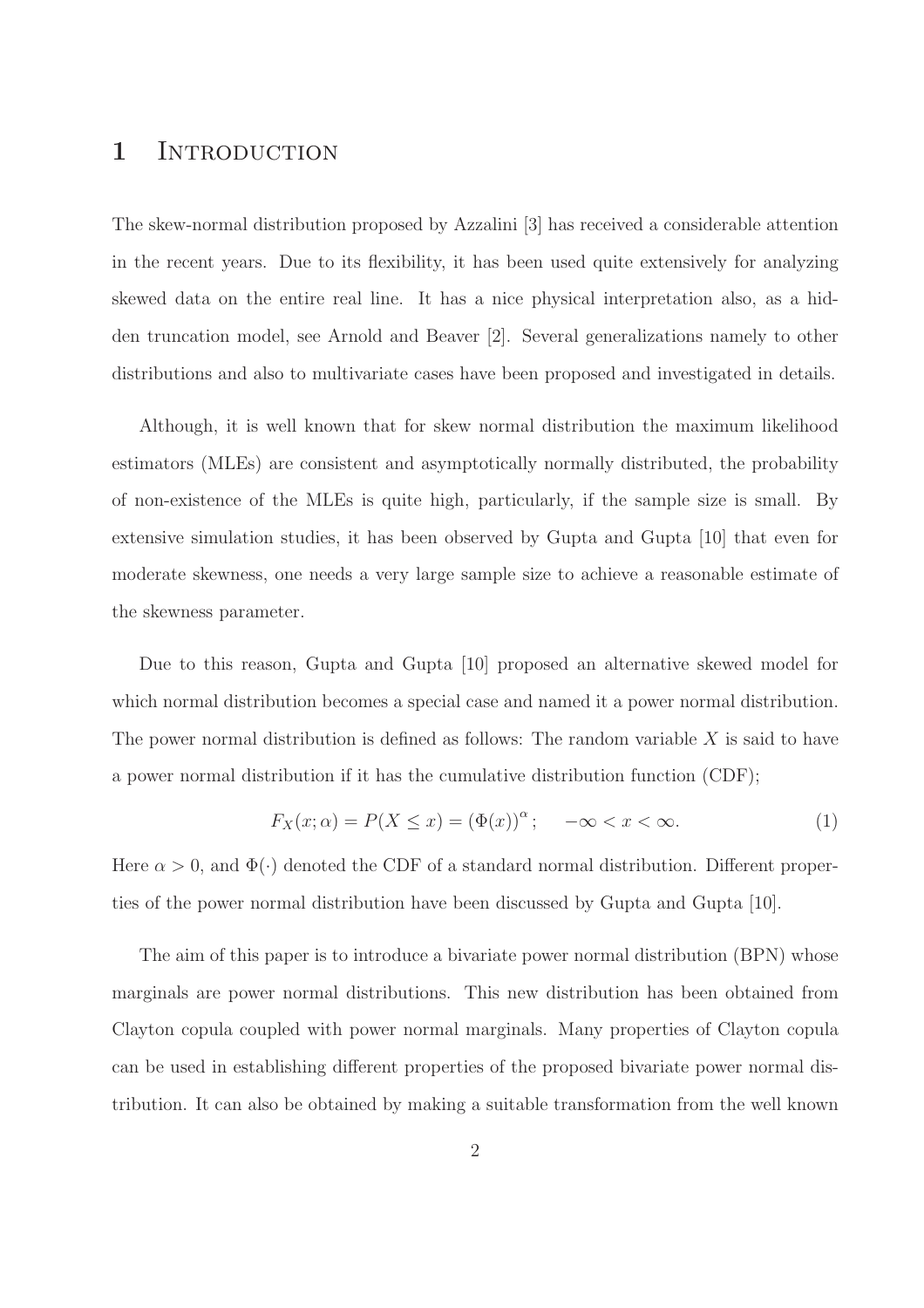### 1 INTRODUCTION

The skew-normal distribution proposed by Azzalini [3] has received a considerable attention in the recent years. Due to its flexibility, it has been used quite extensively for analyzing skewed data on the entire real line. It has a nice physical interpretation also, as a hidden truncation model, see Arnold and Beaver [2]. Several generalizations namely to other distributions and also to multivariate cases have been proposed and investigated in details.

Although, it is well known that for skew normal distribution the maximum likelihood estimators (MLEs) are consistent and asymptotically normally distributed, the probability of non-existence of the MLEs is quite high, particularly, if the sample size is small. By extensive simulation studies, it has been observed by Gupta and Gupta [10] that even for moderate skewness, one needs a very large sample size to achieve a reasonable estimate of the skewness parameter.

Due to this reason, Gupta and Gupta [10] proposed an alternative skewed model for which normal distribution becomes a special case and named it a power normal distribution. The power normal distribution is defined as follows: The random variable  $X$  is said to have a power normal distribution if it has the cumulative distribution function (CDF);

$$
F_X(x; \alpha) = P(X \le x) = (\Phi(x))^\alpha; \quad -\infty < x < \infty. \tag{1}
$$

Here  $\alpha > 0$ , and  $\Phi(\cdot)$  denoted the CDF of a standard normal distribution. Different properties of the power normal distribution have been discussed by Gupta and Gupta [10].

The aim of this paper is to introduce a bivariate power normal distribution (BPN) whose marginals are power normal distributions. This new distribution has been obtained from Clayton copula coupled with power normal marginals. Many properties of Clayton copula can be used in establishing different properties of the proposed bivariate power normal distribution. It can also be obtained by making a suitable transformation from the well known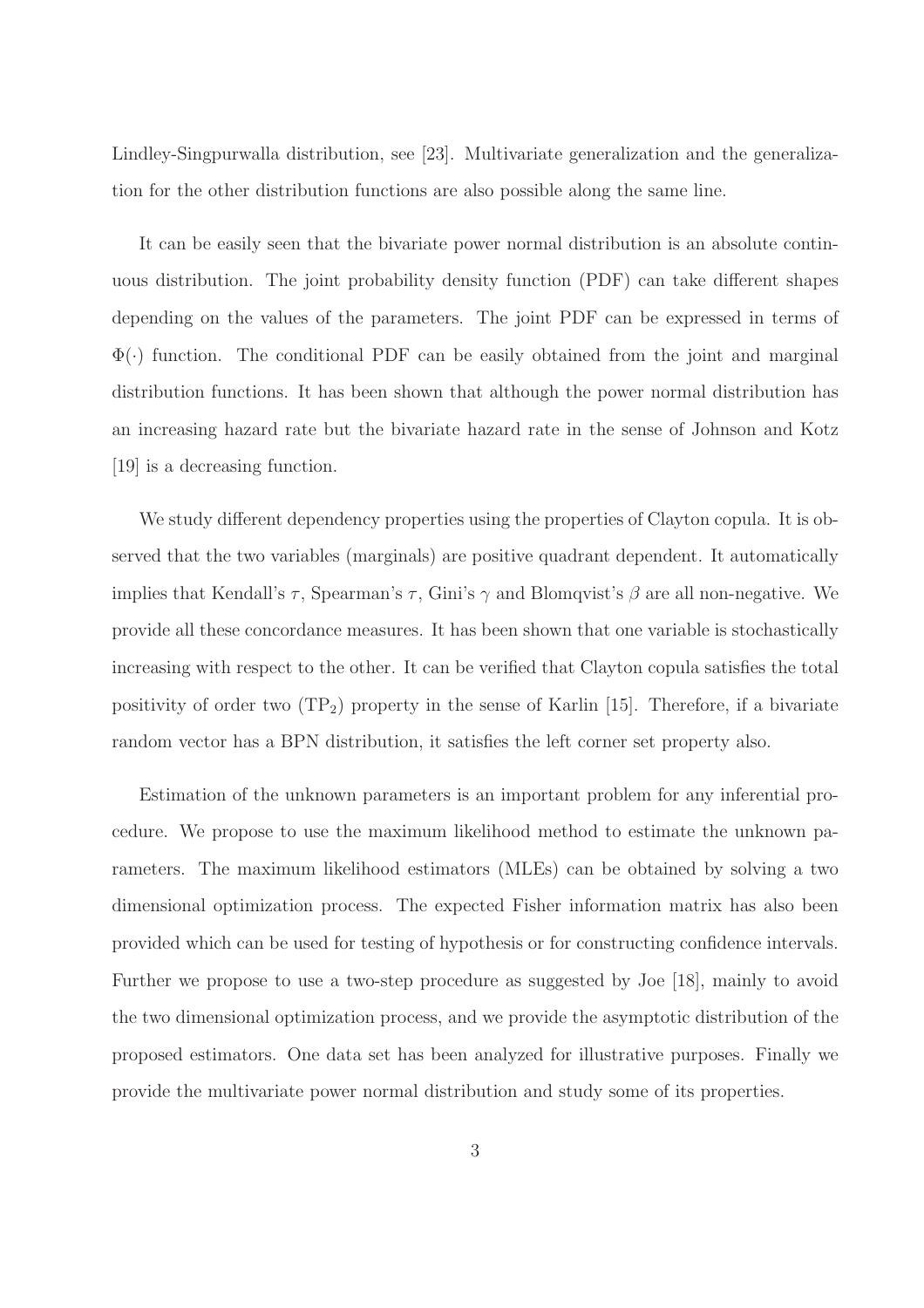Lindley-Singpurwalla distribution, see [23]. Multivariate generalization and the generalization for the other distribution functions are also possible along the same line.

It can be easily seen that the bivariate power normal distribution is an absolute continuous distribution. The joint probability density function (PDF) can take different shapes depending on the values of the parameters. The joint PDF can be expressed in terms of  $\Phi(\cdot)$  function. The conditional PDF can be easily obtained from the joint and marginal distribution functions. It has been shown that although the power normal distribution has an increasing hazard rate but the bivariate hazard rate in the sense of Johnson and Kotz [19] is a decreasing function.

We study different dependency properties using the properties of Clayton copula. It is observed that the two variables (marginals) are positive quadrant dependent. It automatically implies that Kendall's  $\tau$ , Spearman's  $\tau$ , Gini's  $\gamma$  and Blomqvist's  $\beta$  are all non-negative. We provide all these concordance measures. It has been shown that one variable is stochastically increasing with respect to the other. It can be verified that Clayton copula satisfies the total positivity of order two  $(TP_2)$  property in the sense of Karlin [15]. Therefore, if a bivariate random vector has a BPN distribution, it satisfies the left corner set property also.

Estimation of the unknown parameters is an important problem for any inferential procedure. We propose to use the maximum likelihood method to estimate the unknown parameters. The maximum likelihood estimators (MLEs) can be obtained by solving a two dimensional optimization process. The expected Fisher information matrix has also been provided which can be used for testing of hypothesis or for constructing confidence intervals. Further we propose to use a two-step procedure as suggested by Joe [18], mainly to avoid the two dimensional optimization process, and we provide the asymptotic distribution of the proposed estimators. One data set has been analyzed for illustrative purposes. Finally we provide the multivariate power normal distribution and study some of its properties.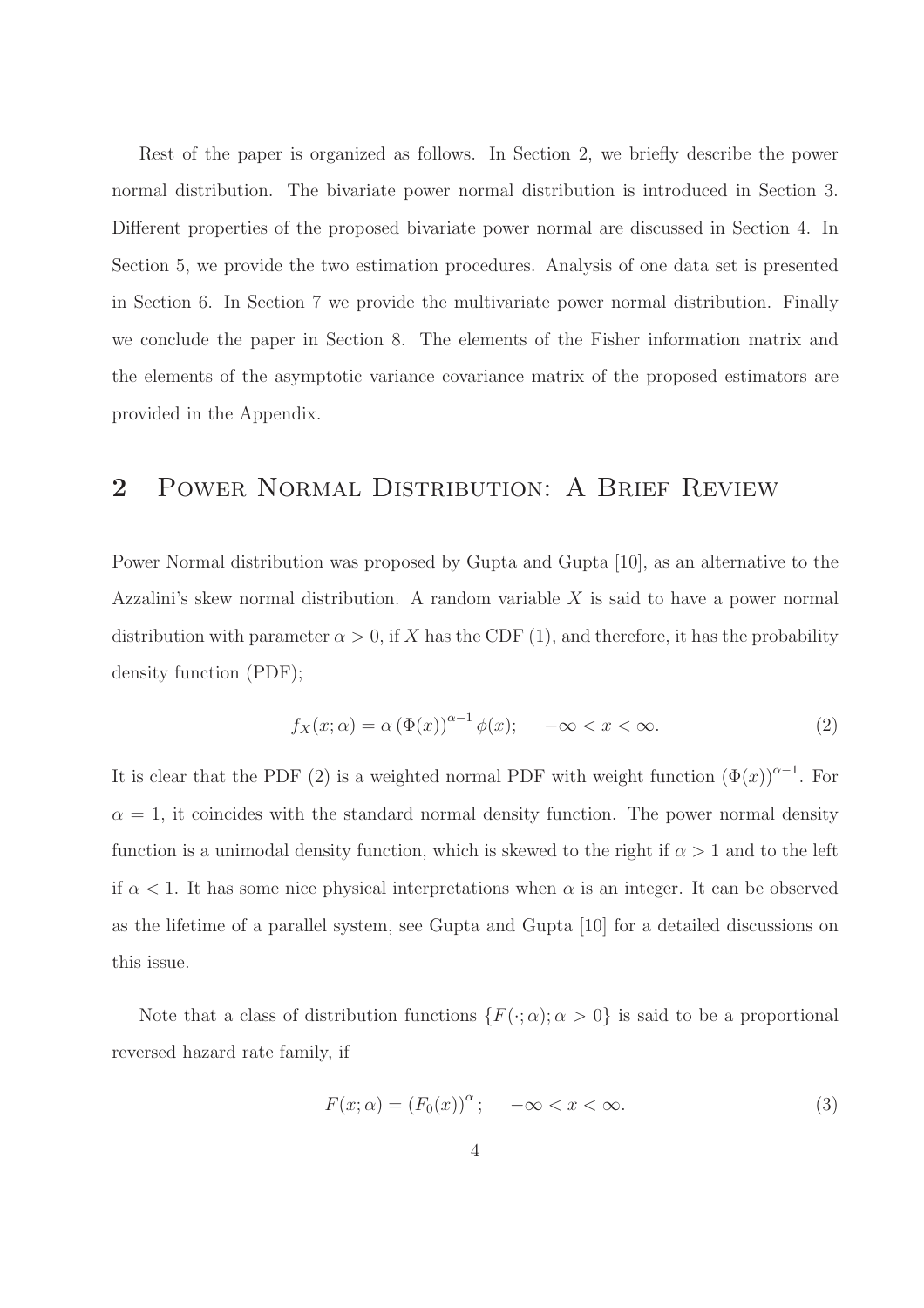Rest of the paper is organized as follows. In Section 2, we briefly describe the power normal distribution. The bivariate power normal distribution is introduced in Section 3. Different properties of the proposed bivariate power normal are discussed in Section 4. In Section 5, we provide the two estimation procedures. Analysis of one data set is presented in Section 6. In Section 7 we provide the multivariate power normal distribution. Finally we conclude the paper in Section 8. The elements of the Fisher information matrix and the elements of the asymptotic variance covariance matrix of the proposed estimators are provided in the Appendix.

### 2 Power Normal Distribution: A Brief Review

Power Normal distribution was proposed by Gupta and Gupta [10], as an alternative to the Azzalini's skew normal distribution. A random variable  $X$  is said to have a power normal distribution with parameter  $\alpha > 0$ , if X has the CDF (1), and therefore, it has the probability density function (PDF);

$$
f_X(x; \alpha) = \alpha (\Phi(x))^{\alpha - 1} \phi(x); \quad -\infty < x < \infty. \tag{2}
$$

It is clear that the PDF (2) is a weighted normal PDF with weight function  $(\Phi(x))^{a-1}$ . For  $\alpha = 1$ , it coincides with the standard normal density function. The power normal density function is a unimodal density function, which is skewed to the right if  $\alpha > 1$  and to the left if  $\alpha$  < 1. It has some nice physical interpretations when  $\alpha$  is an integer. It can be observed as the lifetime of a parallel system, see Gupta and Gupta [10] for a detailed discussions on this issue.

Note that a class of distribution functions  $\{F(\cdot; \alpha); \alpha > 0\}$  is said to be a proportional reversed hazard rate family, if

$$
F(x; \alpha) = (F_0(x))^{\alpha}; \quad -\infty < x < \infty. \tag{3}
$$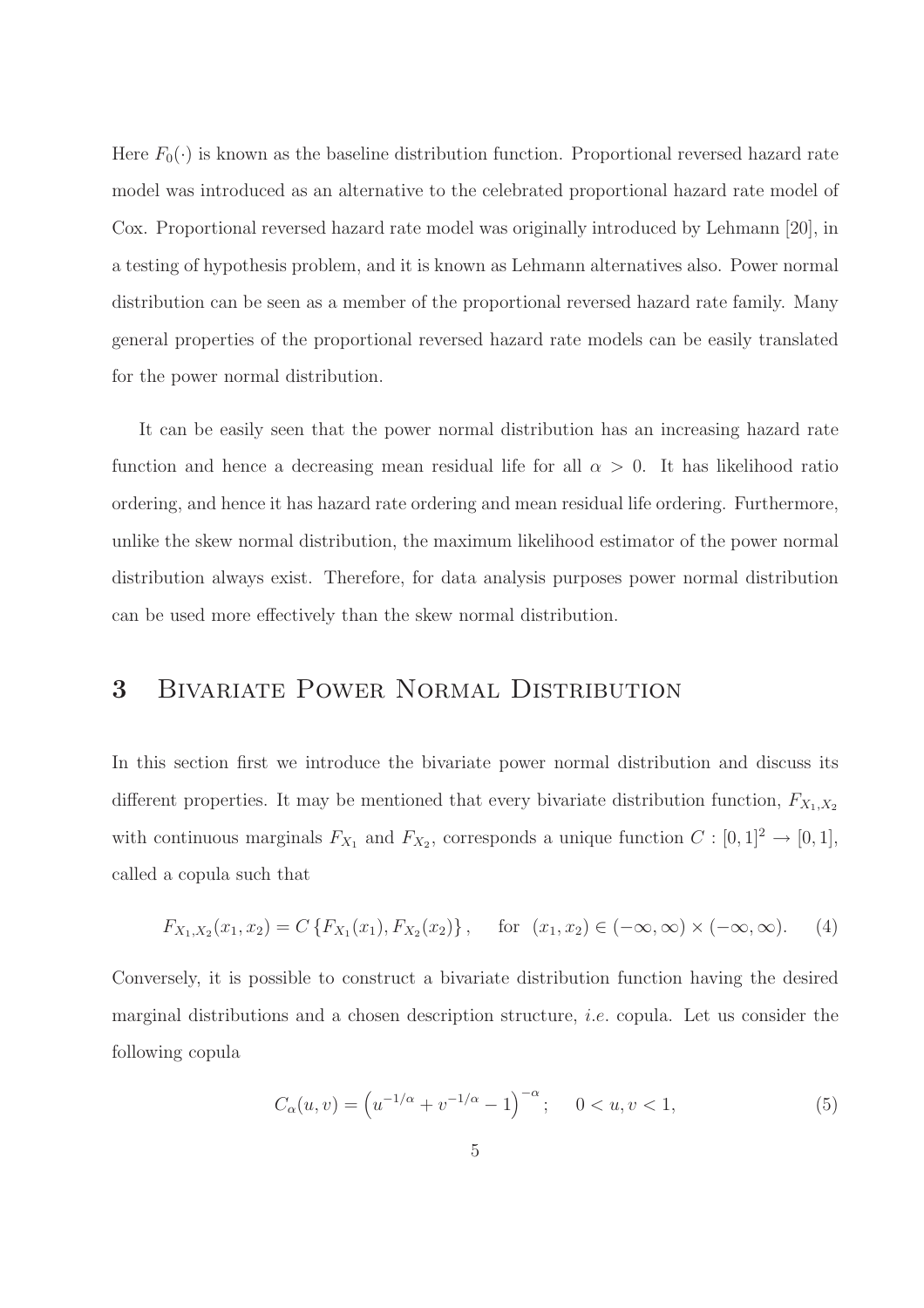Here  $F_0(\cdot)$  is known as the baseline distribution function. Proportional reversed hazard rate model was introduced as an alternative to the celebrated proportional hazard rate model of Cox. Proportional reversed hazard rate model was originally introduced by Lehmann [20], in a testing of hypothesis problem, and it is known as Lehmann alternatives also. Power normal distribution can be seen as a member of the proportional reversed hazard rate family. Many general properties of the proportional reversed hazard rate models can be easily translated for the power normal distribution.

It can be easily seen that the power normal distribution has an increasing hazard rate function and hence a decreasing mean residual life for all  $\alpha > 0$ . It has likelihood ratio ordering, and hence it has hazard rate ordering and mean residual life ordering. Furthermore, unlike the skew normal distribution, the maximum likelihood estimator of the power normal distribution always exist. Therefore, for data analysis purposes power normal distribution can be used more effectively than the skew normal distribution.

# 3 Bivariate Power Normal Distribution

In this section first we introduce the bivariate power normal distribution and discuss its different properties. It may be mentioned that every bivariate distribution function,  $F_{X_1,X_2}$ with continuous marginals  $F_{X_1}$  and  $F_{X_2}$ , corresponds a unique function  $C : [0,1]^2 \to [0,1],$ called a copula such that

$$
F_{X_1,X_2}(x_1,x_2) = C\left\{F_{X_1}(x_1), F_{X_2}(x_2)\right\}, \quad \text{for } (x_1,x_2) \in (-\infty, \infty) \times (-\infty, \infty). \tag{4}
$$

Conversely, it is possible to construct a bivariate distribution function having the desired marginal distributions and a chosen description structure, i.e. copula. Let us consider the following copula

$$
C_{\alpha}(u,v) = \left(u^{-1/\alpha} + v^{-1/\alpha} - 1\right)^{-\alpha}; \quad 0 < u, v < 1,\tag{5}
$$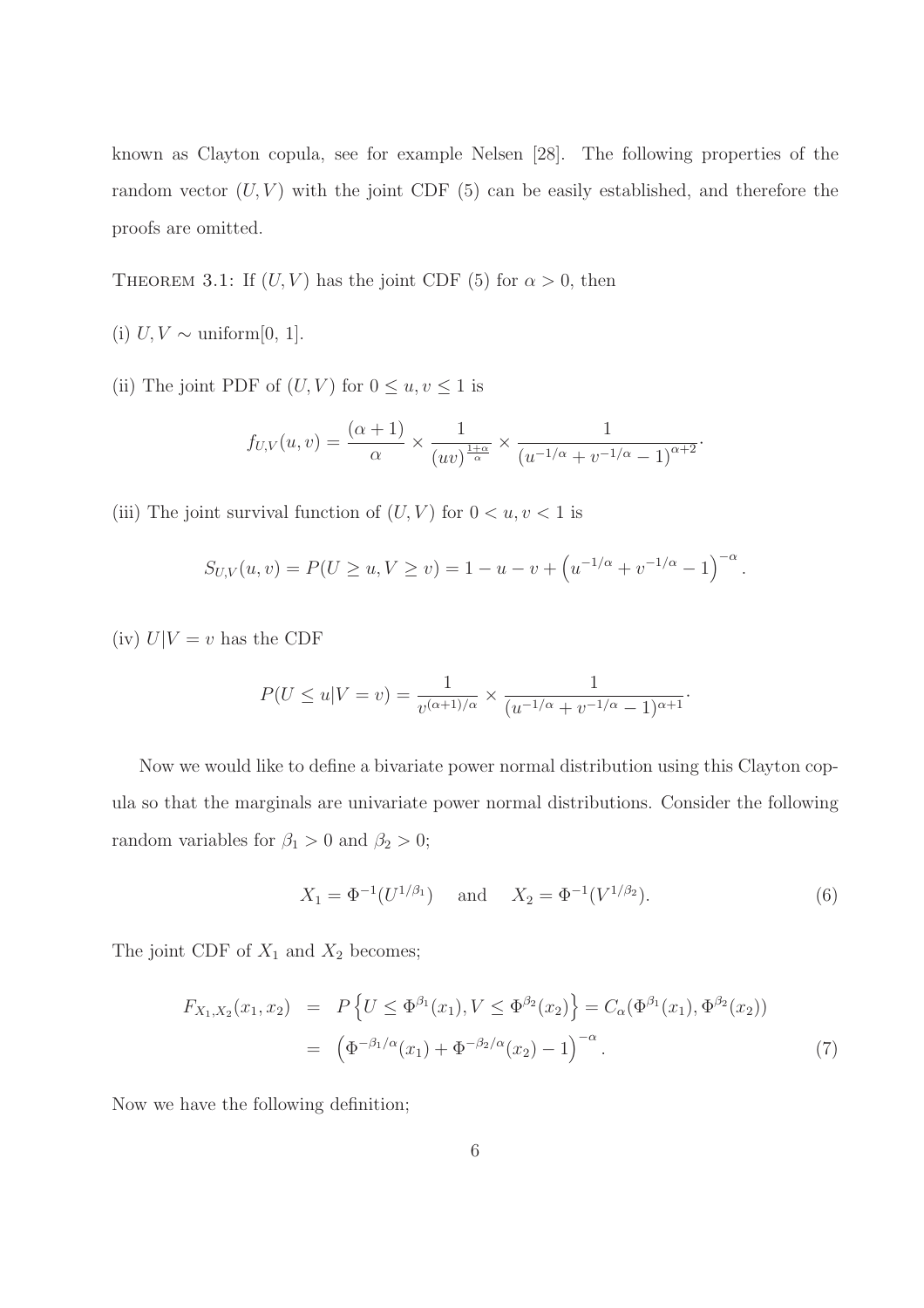known as Clayton copula, see for example Nelsen [28]. The following properties of the random vector  $(U, V)$  with the joint CDF (5) can be easily established, and therefore the proofs are omitted.

THEOREM 3.1: If  $(U, V)$  has the joint CDF (5) for  $\alpha > 0$ , then

- (i)  $U, V \sim \text{uniform}[0, 1].$
- (ii) The joint PDF of  $(U, V)$  for  $0 \le u, v \le 1$  is

$$
f_{U,V}(u,v) = \frac{(\alpha+1)}{\alpha} \times \frac{1}{(uv)^{\frac{1+\alpha}{\alpha}}} \times \frac{1}{(u^{-1/\alpha} + v^{-1/\alpha} - 1)^{\alpha+2}}.
$$

(iii) The joint survival function of  $(U, V)$  for  $0 < u, v < 1$  is

$$
S_{U,V}(u,v) = P(U \ge u, V \ge v) = 1 - u - v + (u^{-1/\alpha} + v^{-1/\alpha} - 1)^{-\alpha}.
$$

(iv)  $U|V = v$  has the CDF

$$
P(U \le u | V = v) = \frac{1}{v^{(\alpha+1)/\alpha}} \times \frac{1}{(u^{-1/\alpha} + v^{-1/\alpha} - 1)^{\alpha+1}}.
$$

Now we would like to define a bivariate power normal distribution using this Clayton copula so that the marginals are univariate power normal distributions. Consider the following random variables for  $\beta_1 > 0$  and  $\beta_2 > 0$ ;

$$
X_1 = \Phi^{-1}(U^{1/\beta_1}) \quad \text{and} \quad X_2 = \Phi^{-1}(V^{1/\beta_2}). \tag{6}
$$

The joint CDF of  $X_1$  and  $X_2$  becomes;

$$
F_{X_1, X_2}(x_1, x_2) = P\left\{U \le \Phi^{\beta_1}(x_1), V \le \Phi^{\beta_2}(x_2)\right\} = C_{\alpha}(\Phi^{\beta_1}(x_1), \Phi^{\beta_2}(x_2))
$$
  
=  $(\Phi^{-\beta_1/\alpha}(x_1) + \Phi^{-\beta_2/\alpha}(x_2) - 1)^{-\alpha}$ . (7)

Now we have the following definition;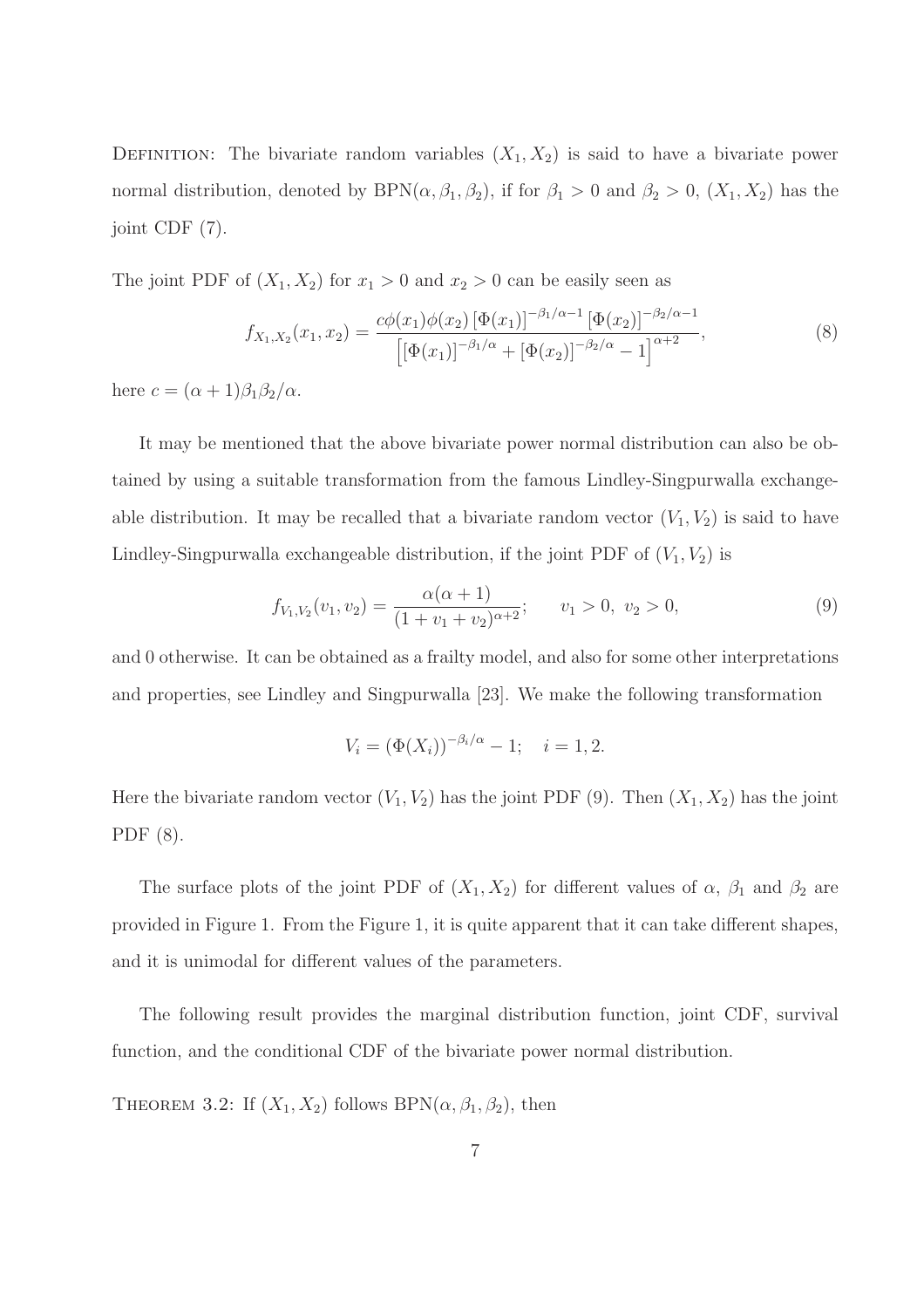DEFINITION: The bivariate random variables  $(X_1, X_2)$  is said to have a bivariate power normal distribution, denoted by  $BPN(\alpha, \beta_1, \beta_2)$ , if for  $\beta_1 > 0$  and  $\beta_2 > 0$ ,  $(X_1, X_2)$  has the joint CDF (7).

The joint PDF of  $(X_1, X_2)$  for  $x_1 > 0$  and  $x_2 > 0$  can be easily seen as

$$
f_{X_1,X_2}(x_1,x_2) = \frac{c\phi(x_1)\phi(x_2)\left[\Phi(x_1)\right]^{-\beta_1/\alpha - 1}\left[\Phi(x_2)\right]^{-\beta_2/\alpha - 1}}{\left[\left[\Phi(x_1)\right]^{-\beta_1/\alpha} + \left[\Phi(x_2)\right]^{-\beta_2/\alpha} - 1\right]^{\alpha + 2}},\tag{8}
$$

here  $c = (\alpha + 1)\beta_1\beta_2/\alpha$ .

It may be mentioned that the above bivariate power normal distribution can also be obtained by using a suitable transformation from the famous Lindley-Singpurwalla exchangeable distribution. It may be recalled that a bivariate random vector  $(V_1, V_2)$  is said to have Lindley-Singpurwalla exchangeable distribution, if the joint PDF of  $(V_1, V_2)$  is

$$
f_{V_1,V_2}(v_1,v_2) = \frac{\alpha(\alpha+1)}{(1+v_1+v_2)^{\alpha+2}}; \qquad v_1 > 0, \ v_2 > 0,
$$
\n
$$
(9)
$$

and 0 otherwise. It can be obtained as a frailty model, and also for some other interpretations and properties, see Lindley and Singpurwalla [23]. We make the following transformation

$$
V_i = (\Phi(X_i))^{-\beta_i/\alpha} - 1; \quad i = 1, 2.
$$

Here the bivariate random vector  $(V_1, V_2)$  has the joint PDF (9). Then  $(X_1, X_2)$  has the joint PDF (8).

The surface plots of the joint PDF of  $(X_1, X_2)$  for different values of  $\alpha$ ,  $\beta_1$  and  $\beta_2$  are provided in Figure 1. From the Figure 1, it is quite apparent that it can take different shapes, and it is unimodal for different values of the parameters.

The following result provides the marginal distribution function, joint CDF, survival function, and the conditional CDF of the bivariate power normal distribution.

THEOREM 3.2: If  $(X_1, X_2)$  follows BPN $(\alpha, \beta_1, \beta_2)$ , then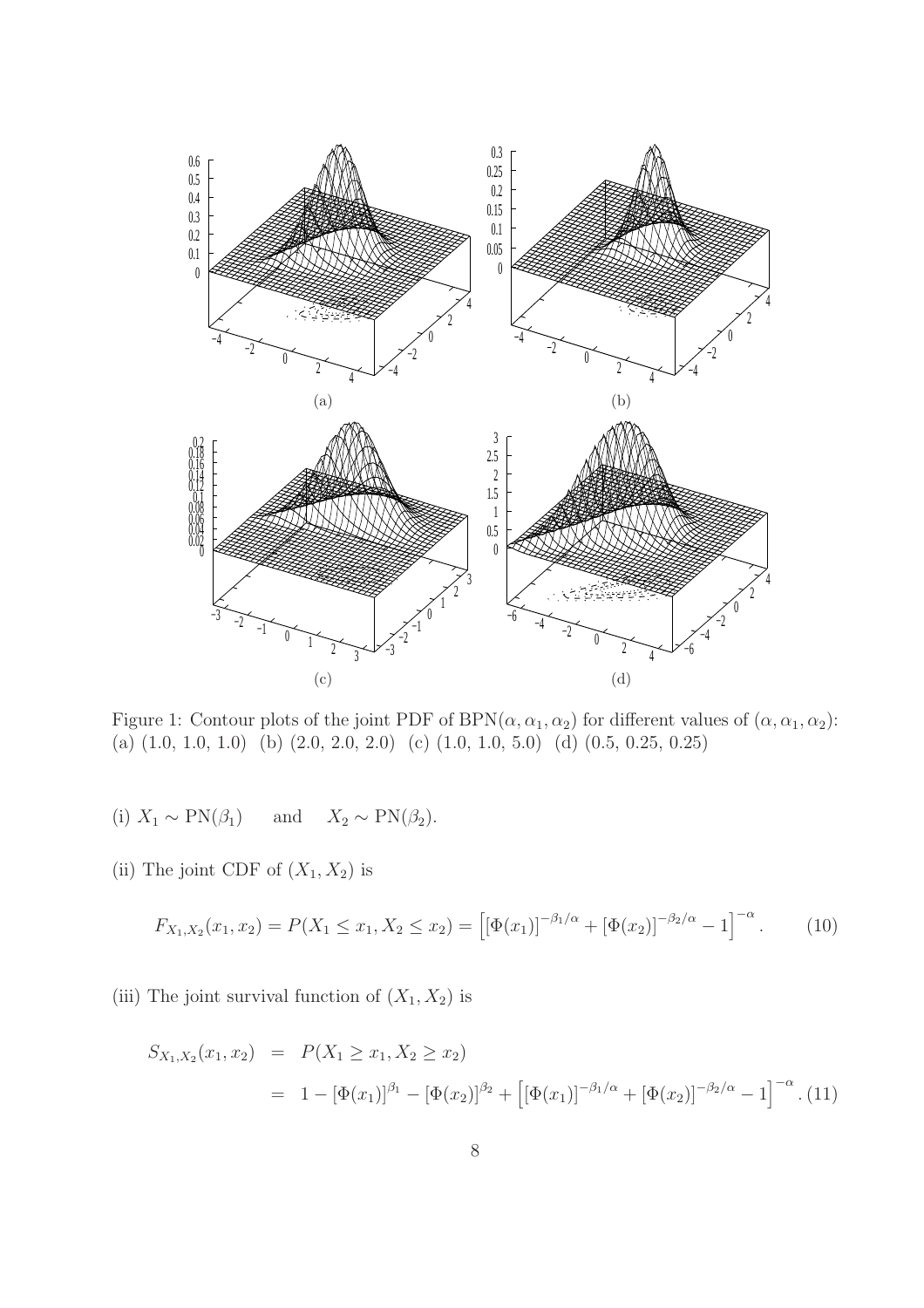

Figure 1: Contour plots of the joint PDF of BPN( $\alpha$ ,  $\alpha_1$ ,  $\alpha_2$ ) for different values of ( $\alpha$ ,  $\alpha_1$ ,  $\alpha_2$ ): (a) (1.0, 1.0, 1.0) (b) (2.0, 2.0, 2.0) (c) (1.0, 1.0, 5.0) (d) (0.5, 0.25, 0.25)

- (i)  $X_1 \sim \text{PN}(\beta_1)$  and  $X_2 \sim \text{PN}(\beta_2)$ .
- (ii) The joint CDF of  $(X_1, X_2)$  is

$$
F_{X_1,X_2}(x_1,x_2) = P(X_1 \le x_1, X_2 \le x_2) = \left[ [\Phi(x_1)]^{-\beta_1/\alpha} + [\Phi(x_2)]^{-\beta_2/\alpha} - 1 \right]^{-\alpha}.
$$
 (10)

(iii) The joint survival function of  $(X_1, X_2)$  is

$$
S_{X_1, X_2}(x_1, x_2) = P(X_1 \ge x_1, X_2 \ge x_2)
$$
  
=  $1 - [\Phi(x_1)]^{\beta_1} - [\Phi(x_2)]^{\beta_2} + [[\Phi(x_1)]^{-\beta_1/\alpha} + [\Phi(x_2)]^{-\beta_2/\alpha} - 1]^{-\alpha}$ . (11)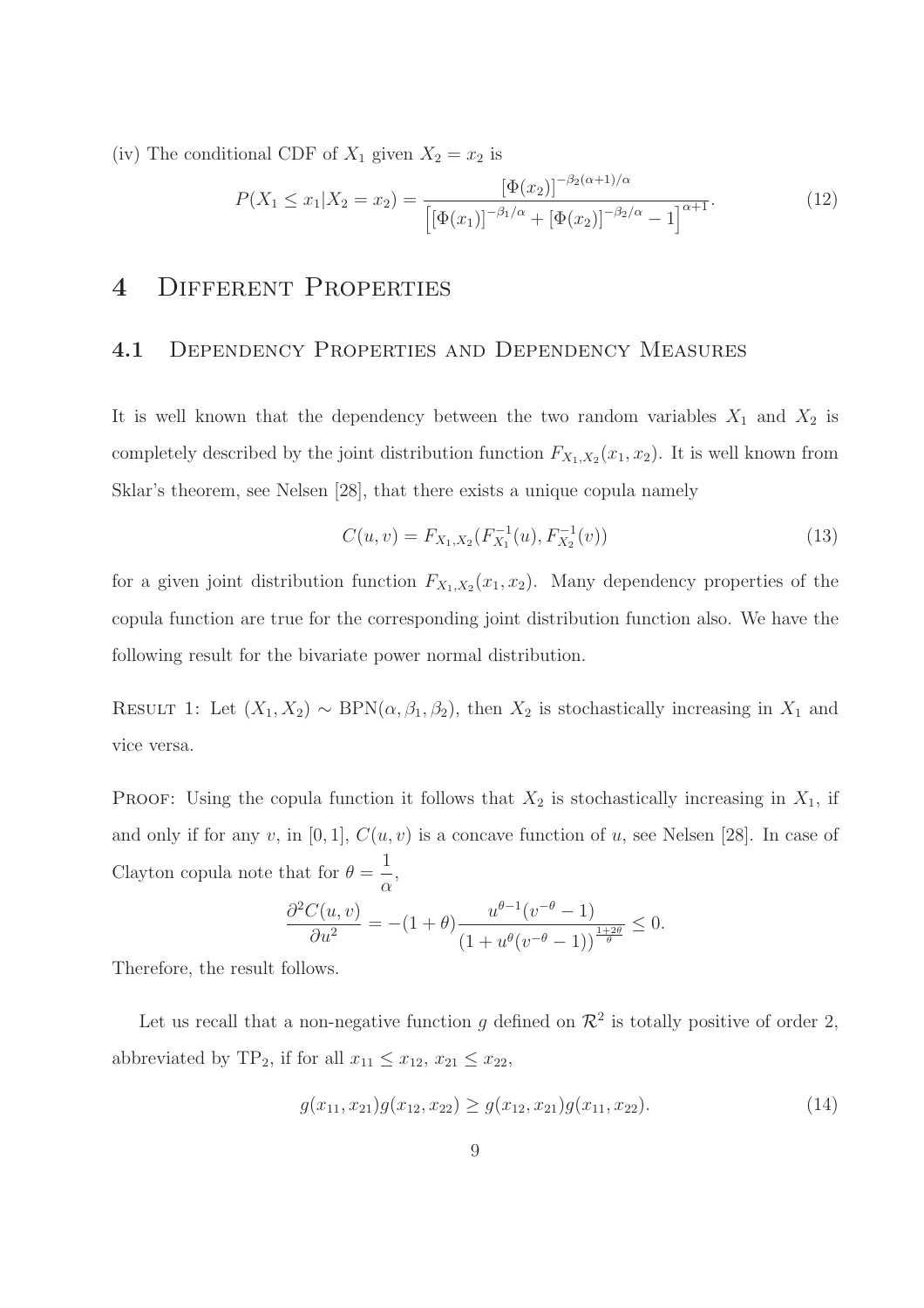(iv) The conditional CDF of  $X_1$  given  $X_2 = x_2$  is

$$
P(X_1 \le x_1 | X_2 = x_2) = \frac{\left[\Phi(x_2)\right]^{-\beta_2(\alpha+1)/\alpha}}{\left[\left[\Phi(x_1)\right]^{-\beta_1/\alpha} + \left[\Phi(x_2)\right]^{-\beta_2/\alpha} - 1\right]^{\alpha+1}}.
$$
\n(12)

## 4 Different Properties

#### 4.1 DEPENDENCY PROPERTIES AND DEPENDENCY MEASURES

It is well known that the dependency between the two random variables  $X_1$  and  $X_2$  is completely described by the joint distribution function  $F_{X_1, X_2}(x_1, x_2)$ . It is well known from Sklar's theorem, see Nelsen [28], that there exists a unique copula namely

$$
C(u, v) = F_{X_1, X_2}(F_{X_1}^{-1}(u), F_{X_2}^{-1}(v))
$$
\n(13)

for a given joint distribution function  $F_{X_1,X_2}(x_1,x_2)$ . Many dependency properties of the copula function are true for the corresponding joint distribution function also. We have the following result for the bivariate power normal distribution.

RESULT 1: Let  $(X_1, X_2) \sim \text{BPN}(\alpha, \beta_1, \beta_2)$ , then  $X_2$  is stochastically increasing in  $X_1$  and vice versa.

PROOF: Using the copula function it follows that  $X_2$  is stochastically increasing in  $X_1$ , if and only if for any v, in [0, 1],  $C(u, v)$  is a concave function of u, see Nelsen [28]. In case of Clayton copula note that for  $\theta =$ 1 α ,

$$
\frac{\partial^2 C(u,v)}{\partial u^2} = -(1+\theta) \frac{u^{\theta-1}(v^{-\theta}-1)}{(1+u^{\theta}(v^{-\theta}-1))^{\frac{1+2\theta}{\theta}}} \leq 0.
$$

Therefore, the result follows.

Let us recall that a non-negative function g defined on  $\mathcal{R}^2$  is totally positive of order 2, abbreviated by TP<sub>2</sub>, if for all  $x_{11} \le x_{12}$ ,  $x_{21} \le x_{22}$ ,

$$
g(x_{11}, x_{21})g(x_{12}, x_{22}) \ge g(x_{12}, x_{21})g(x_{11}, x_{22}).
$$
\n(14)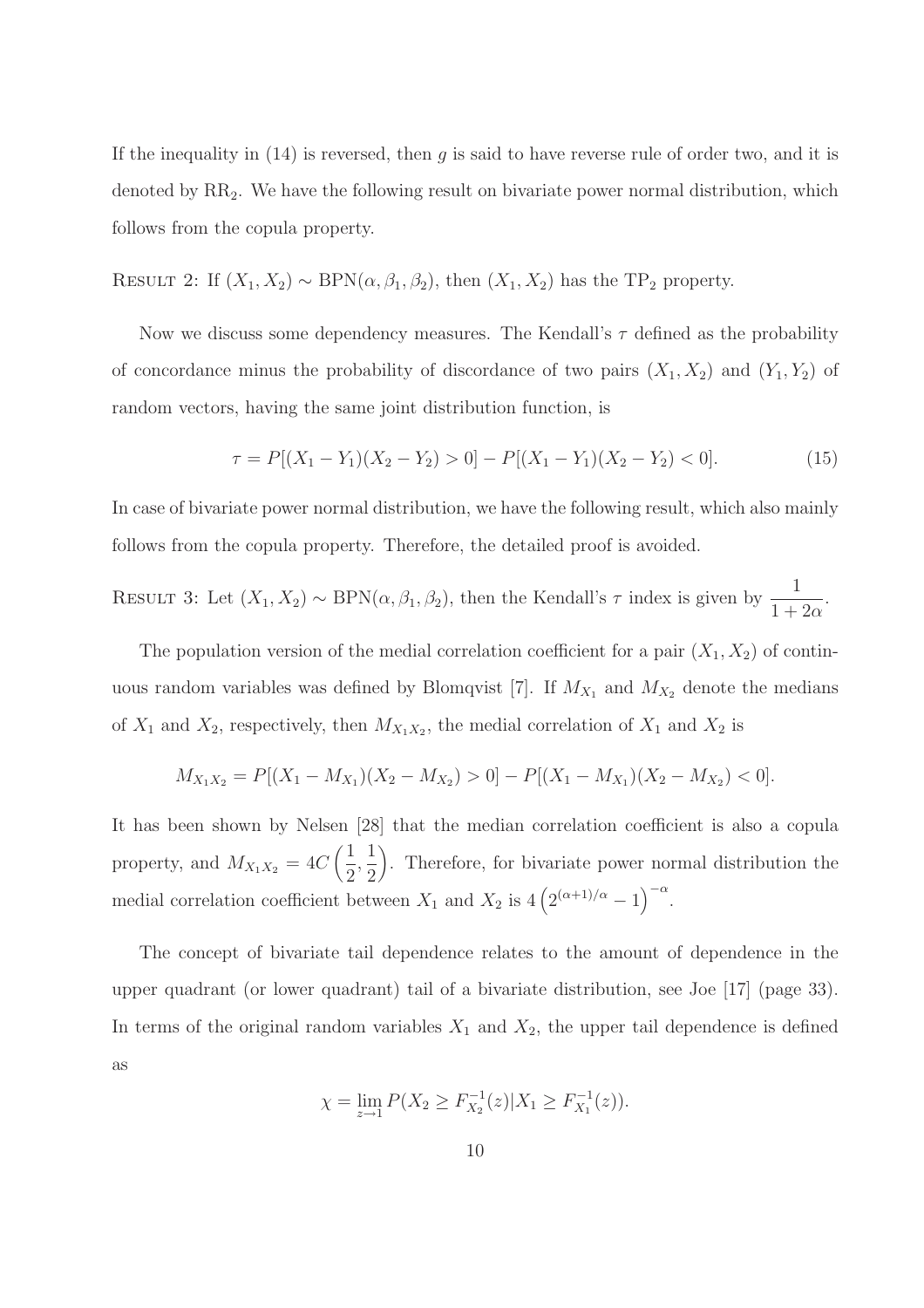If the inequality in  $(14)$  is reversed, then q is said to have reverse rule of order two, and it is denoted by RR2. We have the following result on bivariate power normal distribution, which follows from the copula property.

RESULT 2: If  $(X_1, X_2) \sim \text{BPN}(\alpha, \beta_1, \beta_2)$ , then  $(X_1, X_2)$  has the TP<sub>2</sub> property.

Now we discuss some dependency measures. The Kendall's  $\tau$  defined as the probability of concordance minus the probability of discordance of two pairs  $(X_1, X_2)$  and  $(Y_1, Y_2)$  of random vectors, having the same joint distribution function, is

$$
\tau = P[(X_1 - Y_1)(X_2 - Y_2) > 0] - P[(X_1 - Y_1)(X_2 - Y_2) < 0].
$$
\n(15)

In case of bivariate power normal distribution, we have the following result, which also mainly follows from the copula property. Therefore, the detailed proof is avoided.

RESULT 3: Let  $(X_1, X_2) \sim \text{BPN}(\alpha, \beta_1, \beta_2)$ , then the Kendall's  $\tau$  index is given by  $\frac{1}{1+2\alpha}$ .

The population version of the medial correlation coefficient for a pair  $(X_1, X_2)$  of continuous random variables was defined by Blomqvist [7]. If  $M_{X_1}$  and  $M_{X_2}$  denote the medians of  $X_1$  and  $X_2$ , respectively, then  $M_{X_1X_2}$ , the medial correlation of  $X_1$  and  $X_2$  is

$$
M_{X_1X_2} = P[(X_1 - M_{X_1})(X_2 - M_{X_2}) > 0] - P[(X_1 - M_{X_1})(X_2 - M_{X_2}) < 0].
$$

It has been shown by Nelsen [28] that the median correlation coefficient is also a copula property, and  $M_{X_1X_2} = 4C\left(\frac{1}{2}\right)$ 2 , 1 2 . Therefore, for bivariate power normal distribution the medial correlation coefficient between  $X_1$  and  $X_2$  is  $4\left(2^{(\alpha+1)/\alpha}-1\right)^{-\alpha}$ .

The concept of bivariate tail dependence relates to the amount of dependence in the upper quadrant (or lower quadrant) tail of a bivariate distribution, see Joe [17] (page 33). In terms of the original random variables  $X_1$  and  $X_2$ , the upper tail dependence is defined as

$$
\chi = \lim_{z \to 1} P(X_2 \ge F_{X_2}^{-1}(z) | X_1 \ge F_{X_1}^{-1}(z)).
$$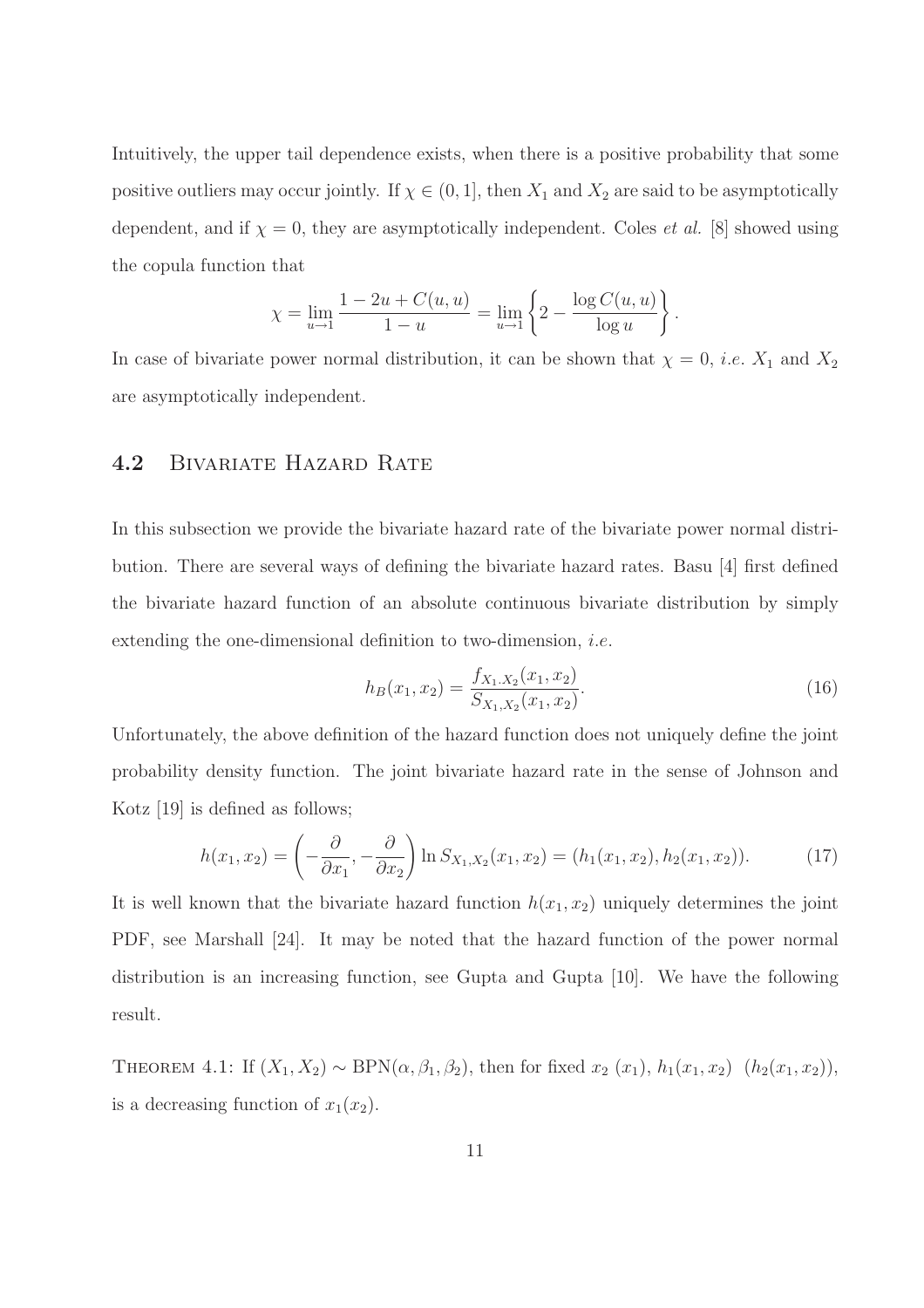Intuitively, the upper tail dependence exists, when there is a positive probability that some positive outliers may occur jointly. If  $\chi \in (0, 1]$ , then  $X_1$  and  $X_2$  are said to be asymptotically dependent, and if  $\chi = 0$ , they are asymptotically independent. Coles *et al.* [8] showed using the copula function that

$$
\chi = \lim_{u \to 1} \frac{1 - 2u + C(u, u)}{1 - u} = \lim_{u \to 1} \left\{ 2 - \frac{\log C(u, u)}{\log u} \right\}.
$$

In case of bivariate power normal distribution, it can be shown that  $\chi = 0$ , *i.e.*  $X_1$  and  $X_2$ are asymptotically independent.

#### 4.2 BIVARIATE HAZARD RATE

In this subsection we provide the bivariate hazard rate of the bivariate power normal distribution. There are several ways of defining the bivariate hazard rates. Basu [4] first defined the bivariate hazard function of an absolute continuous bivariate distribution by simply extending the one-dimensional definition to two-dimension, i.e.

$$
h_B(x_1, x_2) = \frac{f_{X_1, X_2}(x_1, x_2)}{S_{X_1, X_2}(x_1, x_2)}.
$$
\n(16)

Unfortunately, the above definition of the hazard function does not uniquely define the joint probability density function. The joint bivariate hazard rate in the sense of Johnson and Kotz [19] is defined as follows;

$$
h(x_1, x_2) = \left(-\frac{\partial}{\partial x_1}, -\frac{\partial}{\partial x_2}\right) \ln S_{X_1, X_2}(x_1, x_2) = (h_1(x_1, x_2), h_2(x_1, x_2)).\tag{17}
$$

It is well known that the bivariate hazard function  $h(x_1, x_2)$  uniquely determines the joint PDF, see Marshall [24]. It may be noted that the hazard function of the power normal distribution is an increasing function, see Gupta and Gupta [10]. We have the following result.

THEOREM 4.1: If  $(X_1, X_2) \sim \text{BPN}(\alpha, \beta_1, \beta_2)$ , then for fixed  $x_2(x_1)$ ,  $h_1(x_1, x_2)$   $(h_2(x_1, x_2))$ , is a decreasing function of  $x_1(x_2)$ .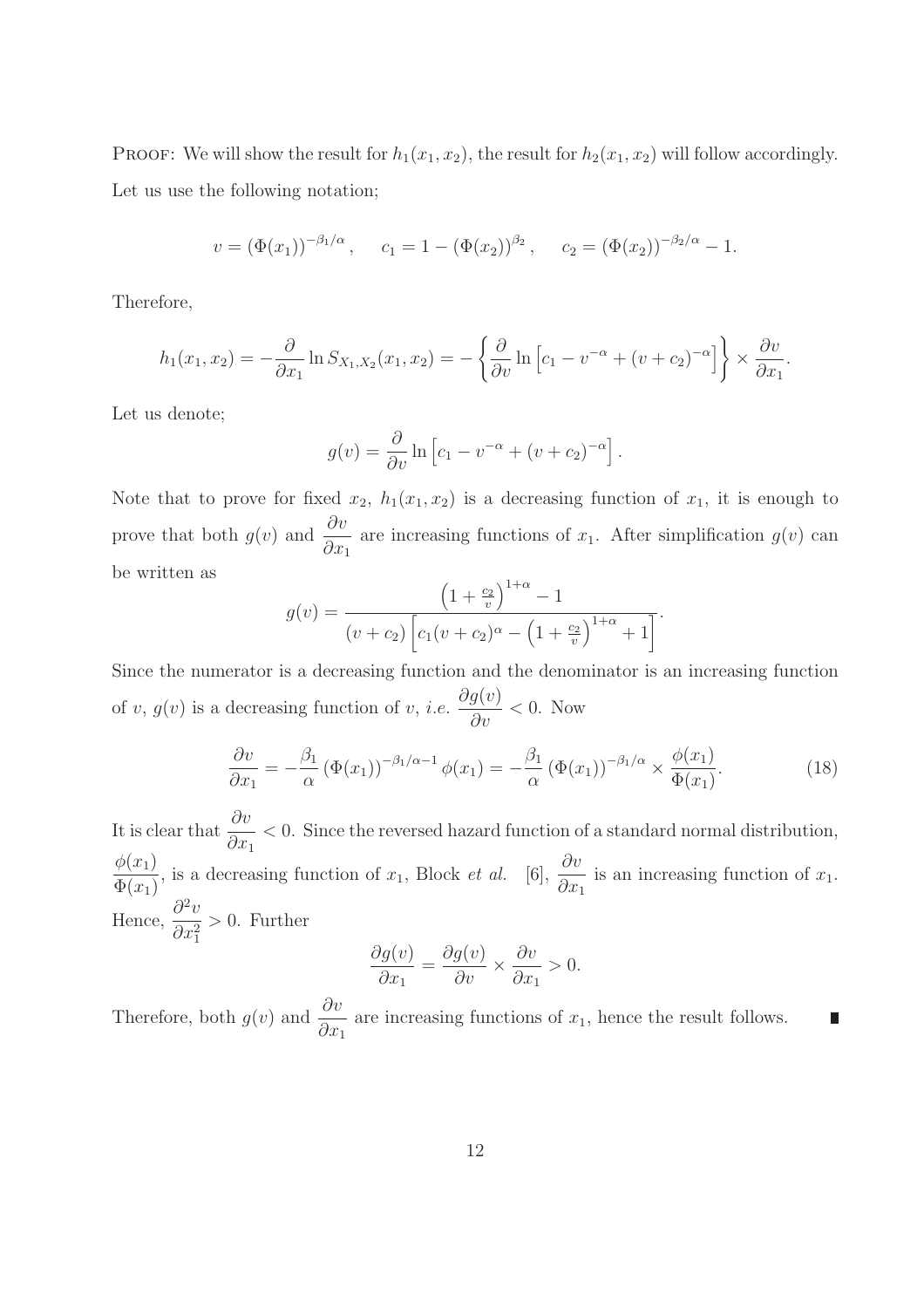PROOF: We will show the result for  $h_1(x_1, x_2)$ , the result for  $h_2(x_1, x_2)$  will follow accordingly. Let us use the following notation;

$$
v = (\Phi(x_1))^{-\beta_1/\alpha}
$$
,  $c_1 = 1 - (\Phi(x_2))^{\beta_2}$ ,  $c_2 = (\Phi(x_2))^{-\beta_2/\alpha} - 1$ .

Therefore,

$$
h_1(x_1, x_2) = -\frac{\partial}{\partial x_1} \ln S_{X_1, X_2}(x_1, x_2) = -\left\{ \frac{\partial}{\partial v} \ln \left[ c_1 - v^{-\alpha} + (v + c_2)^{-\alpha} \right] \right\} \times \frac{\partial v}{\partial x_1}.
$$

Let us denote;

$$
g(v) = \frac{\partial}{\partial v} \ln \left[ c_1 - v^{-\alpha} + (v + c_2)^{-\alpha} \right].
$$

Note that to prove for fixed  $x_2$ ,  $h_1(x_1, x_2)$  is a decreasing function of  $x_1$ , it is enough to prove that both  $g(v)$  and  $\frac{\partial v}{\partial v}$  $\partial x_1$ are increasing functions of  $x_1$ . After simplification  $g(v)$  can be written as

$$
g(v) = \frac{\left(1 + \frac{c_2}{v}\right)^{1+\alpha} - 1}{(v + c_2) \left[c_1(v + c_2)^{\alpha} - \left(1 + \frac{c_2}{v}\right)^{1+\alpha} + 1\right]}.
$$

Since the numerator is a decreasing function and the denominator is an increasing function of  $v, g(v)$  is a decreasing function of  $v, i.e.$  $\partial g(v)$  $rac{\partial v}{\partial v}$  < 0. Now

$$
\frac{\partial v}{\partial x_1} = -\frac{\beta_1}{\alpha} \left( \Phi(x_1) \right)^{-\beta_1/\alpha - 1} \phi(x_1) = -\frac{\beta_1}{\alpha} \left( \Phi(x_1) \right)^{-\beta_1/\alpha} \times \frac{\phi(x_1)}{\Phi(x_1)}.
$$
\n(18)

It is clear that  $\frac{\partial v}{\partial x}$  $\partial x_1$ < 0. Since the reversed hazard function of a standard normal distribution,  $\phi(x_1)$  $\Phi(x_1)$ , is a decreasing function of  $x_1$ , Block *et al.* [6],  $\frac{\partial v}{\partial x}$  $\partial x_1$ is an increasing function of  $x_1$ . Hence,  $\frac{\partial^2 v}{\partial x^2}$ 2  $\partial x_1^2$ > 0. Further

$$
\frac{\partial g(v)}{\partial x_1} = \frac{\partial g(v)}{\partial v} \times \frac{\partial v}{\partial x_1} > 0.
$$

Therefore, both  $g(v)$  and  $\frac{\partial v}{\partial v}$  $\partial x_1$ are increasing functions of  $x_1$ , hence the result follows.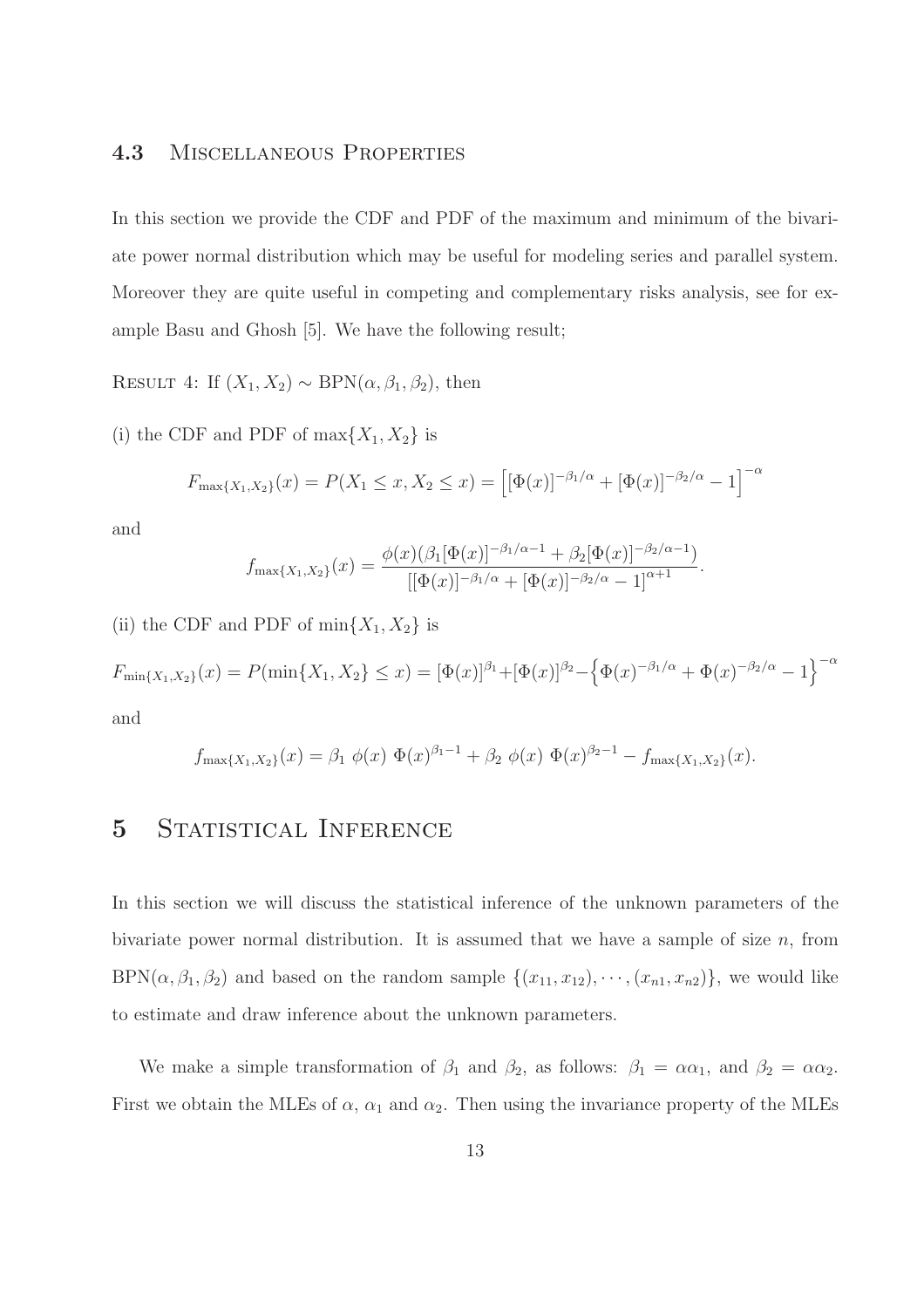#### 4.3 Miscellaneous Properties

In this section we provide the CDF and PDF of the maximum and minimum of the bivariate power normal distribution which may be useful for modeling series and parallel system. Moreover they are quite useful in competing and complementary risks analysis, see for example Basu and Ghosh [5]. We have the following result;

RESULT 4: If  $(X_1, X_2) \sim \text{BPN}(\alpha, \beta_1, \beta_2)$ , then

(i) the CDF and PDF of  $\max\{X_1, X_2\}$  is

$$
F_{\max\{X_1, X_2\}}(x) = P(X_1 \le x, X_2 \le x) = \left[ [\Phi(x)]^{-\beta_1/\alpha} + [\Phi(x)]^{-\beta_2/\alpha} - 1 \right]^{-\alpha}
$$

and

$$
f_{\max\{X_1,X_2\}}(x) = \frac{\phi(x)(\beta_1[\Phi(x)]^{-\beta_1/\alpha - 1} + \beta_2[\Phi(x)]^{-\beta_2/\alpha - 1})}{[[\Phi(x)]^{-\beta_1/\alpha} + [\Phi(x)]^{-\beta_2/\alpha} - 1]^{\alpha + 1}}.
$$

(ii) the CDF and PDF of  $\min\{X_1, X_2\}$  is

 $F_{\min\{X_1,X_2\}}(x) = P(\min\{X_1,X_2\} \leq x) = [\Phi(x)]^{\beta_1} + [\Phi(x)]^{\beta_2} - \left\{\Phi(x)^{-\beta_1/\alpha} + \Phi(x)^{-\beta_2/\alpha} - 1\right\}^{-\alpha}$ and

$$
f_{\max\{X_1,X_2\}}(x) = \beta_1 \; \phi(x) \; \Phi(x)^{\beta_1-1} + \beta_2 \; \phi(x) \; \Phi(x)^{\beta_2-1} - f_{\max\{X_1,X_2\}}(x).
$$

## 5 STATISTICAL INFERENCE

In this section we will discuss the statistical inference of the unknown parameters of the bivariate power normal distribution. It is assumed that we have a sample of size  $n$ , from BPN( $\alpha, \beta_1, \beta_2$ ) and based on the random sample  $\{(x_{11}, x_{12}), \cdots, (x_{n1}, x_{n2})\}$ , we would like to estimate and draw inference about the unknown parameters.

We make a simple transformation of  $\beta_1$  and  $\beta_2$ , as follows:  $\beta_1 = \alpha \alpha_1$ , and  $\beta_2 = \alpha \alpha_2$ . First we obtain the MLEs of  $\alpha$ ,  $\alpha_1$  and  $\alpha_2$ . Then using the invariance property of the MLEs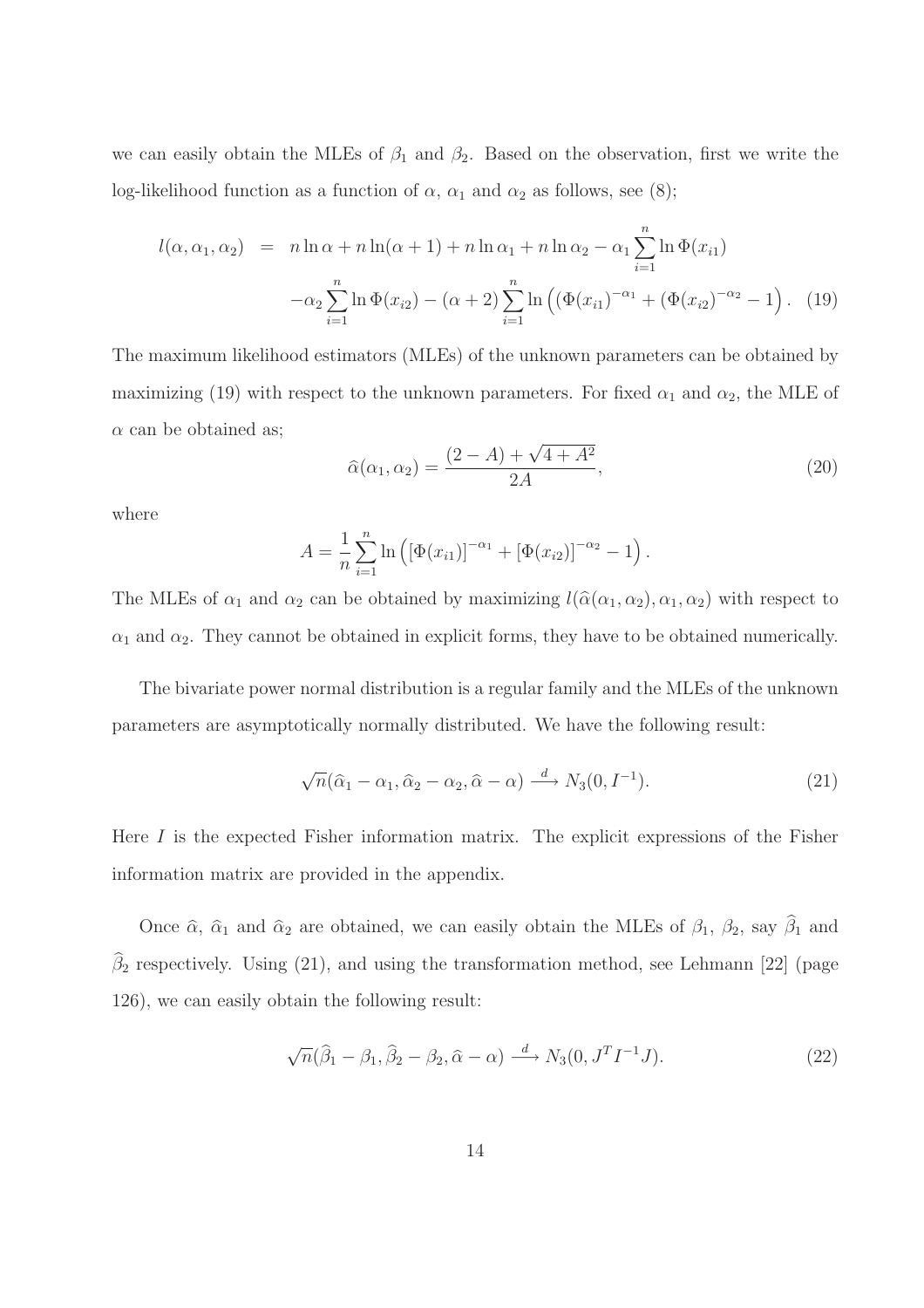we can easily obtain the MLEs of  $\beta_1$  and  $\beta_2$ . Based on the observation, first we write the log-likelihood function as a function of  $\alpha$ ,  $\alpha_1$  and  $\alpha_2$  as follows, see (8);

$$
l(\alpha, \alpha_1, \alpha_2) = n \ln \alpha + n \ln(\alpha + 1) + n \ln \alpha_1 + n \ln \alpha_2 - \alpha_1 \sum_{i=1}^n \ln \Phi(x_{i1})
$$

$$
-\alpha_2 \sum_{i=1}^n \ln \Phi(x_{i2}) - (\alpha + 2) \sum_{i=1}^n \ln \left( (\Phi(x_{i1})^{-\alpha_1} + (\Phi(x_{i2})^{-\alpha_2} - 1) \right). \tag{19}
$$

The maximum likelihood estimators (MLEs) of the unknown parameters can be obtained by maximizing (19) with respect to the unknown parameters. For fixed  $\alpha_1$  and  $\alpha_2$ , the MLE of  $\alpha$  can be obtained as;

$$
\hat{\alpha}(\alpha_1, \alpha_2) = \frac{(2 - A) + \sqrt{4 + A^2}}{2A},
$$
\n(20)

where

$$
A = \frac{1}{n} \sum_{i=1}^{n} \ln \left( \left[ \Phi(x_{i1}) \right]^{-\alpha_1} + \left[ \Phi(x_{i2}) \right]^{-\alpha_2} - 1 \right).
$$

The MLEs of  $\alpha_1$  and  $\alpha_2$  can be obtained by maximizing  $l(\hat{\alpha}(\alpha_1, \alpha_2), \alpha_1, \alpha_2)$  with respect to  $\alpha_1$  and  $\alpha_2$ . They cannot be obtained in explicit forms, they have to be obtained numerically.

The bivariate power normal distribution is a regular family and the MLEs of the unknown parameters are asymptotically normally distributed. We have the following result:

$$
\sqrt{n}(\hat{\alpha}_1 - \alpha_1, \hat{\alpha}_2 - \alpha_2, \hat{\alpha} - \alpha) \xrightarrow{d} N_3(0, I^{-1}).
$$
\n(21)

Here I is the expected Fisher information matrix. The explicit expressions of the Fisher information matrix are provided in the appendix.

Once  $\hat{\alpha}$ ,  $\hat{\alpha}_1$  and  $\hat{\alpha}_2$  are obtained, we can easily obtain the MLEs of  $\beta_1$ ,  $\beta_2$ , say  $\hat{\beta}_1$  and  $\beta_2$  respectively. Using (21), and using the transformation method, see Lehmann [22] (page 126), we can easily obtain the following result:

$$
\sqrt{n}(\hat{\beta}_1 - \beta_1, \hat{\beta}_2 - \beta_2, \hat{\alpha} - \alpha) \xrightarrow{d} N_3(0, J^T I^{-1} J). \tag{22}
$$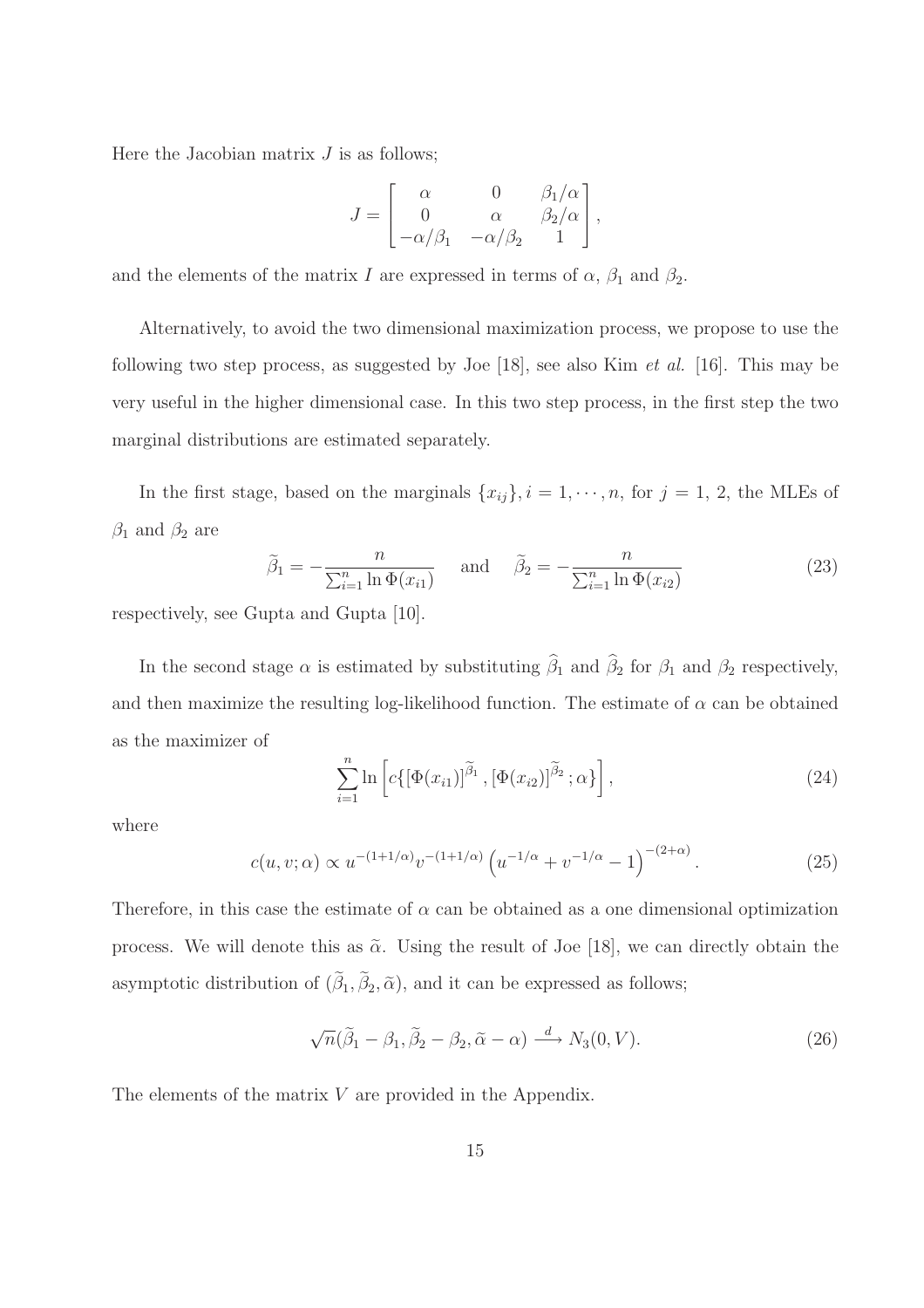Here the Jacobian matrix  $J$  is as follows;

$$
J = \begin{bmatrix} \alpha & 0 & \beta_1/\alpha \\ 0 & \alpha & \beta_2/\alpha \\ -\alpha/\beta_1 & -\alpha/\beta_2 & 1 \end{bmatrix},
$$

and the elements of the matrix I are expressed in terms of  $\alpha$ ,  $\beta_1$  and  $\beta_2$ .

Alternatively, to avoid the two dimensional maximization process, we propose to use the following two step process, as suggested by Joe [18], see also Kim et al. [16]. This may be very useful in the higher dimensional case. In this two step process, in the first step the two marginal distributions are estimated separately.

In the first stage, based on the marginals  $\{x_{ij}\}, i = 1, \dots, n$ , for  $j = 1, 2$ , the MLEs of  $\beta_1$  and  $\beta_2$  are

$$
\tilde{\beta}_1 = -\frac{n}{\sum_{i=1}^n \ln \Phi(x_{i1})} \quad \text{and} \quad \tilde{\beta}_2 = -\frac{n}{\sum_{i=1}^n \ln \Phi(x_{i2})}
$$
\n(23)

respectively, see Gupta and Gupta [10].

In the second stage  $\alpha$  is estimated by substituting  $\hat{\beta}_1$  and  $\hat{\beta}_2$  for  $\beta_1$  and  $\beta_2$  respectively, and then maximize the resulting log-likelihood function. The estimate of  $\alpha$  can be obtained as the maximizer of

$$
\sum_{i=1}^{n} \ln \left[ c \{ \left[ \Phi(x_{i1}) \right]^{\widetilde{\beta}_1}, \left[ \Phi(x_{i2}) \right]^{\widetilde{\beta}_2}; \alpha \} \right],\tag{24}
$$

where

$$
c(u, v; \alpha) \propto u^{-(1+1/\alpha)} v^{-(1+1/\alpha)} \left( u^{-1/\alpha} + v^{-1/\alpha} - 1 \right)^{-(2+\alpha)}.
$$
 (25)

Therefore, in this case the estimate of  $\alpha$  can be obtained as a one dimensional optimization process. We will denote this as  $\tilde{\alpha}$ . Using the result of Joe [18], we can directly obtain the asymptotic distribution of  $(\beta_1, \beta_2, \tilde{\alpha})$ , and it can be expressed as follows;

$$
\sqrt{n}(\tilde{\beta}_1 - \beta_1, \tilde{\beta}_2 - \beta_2, \tilde{\alpha} - \alpha) \xrightarrow{d} N_3(0, V). \tag{26}
$$

The elements of the matrix V are provided in the Appendix.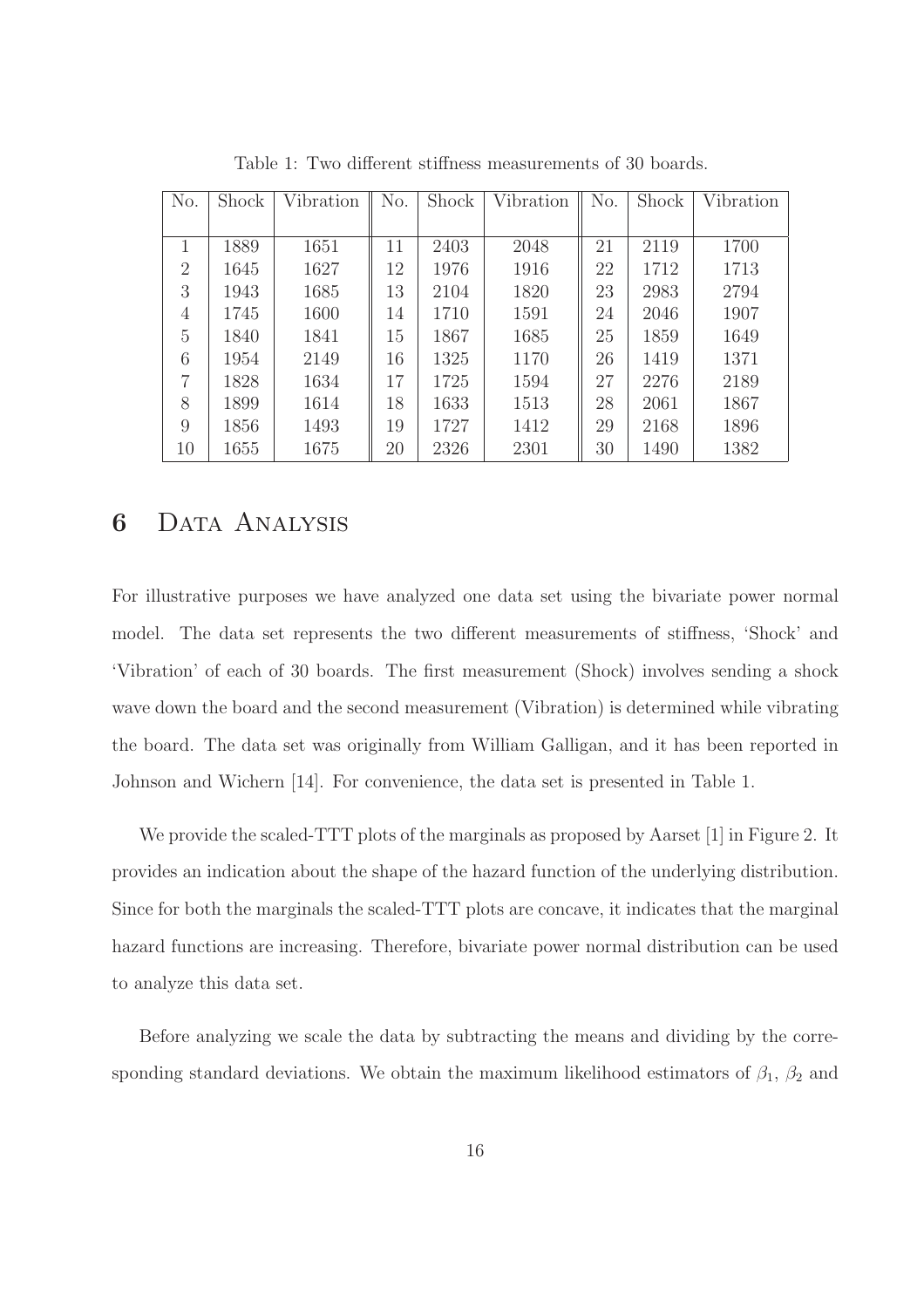| No.            | Shock | Vibration | No. | Shock | Vibration | No. | Shock | Vibration |
|----------------|-------|-----------|-----|-------|-----------|-----|-------|-----------|
|                |       |           |     |       |           |     |       |           |
|                | 1889  | 1651      | 11  | 2403  | 2048      | 21  | 2119  | 1700      |
| $\overline{2}$ | 1645  | 1627      | 12  | 1976  | 1916      | 22  | 1712  | 1713      |
| 3              | 1943  | 1685      | 13  | 2104  | 1820      | 23  | 2983  | 2794      |
| 4              | 1745  | 1600      | 14  | 1710  | 1591      | 24  | 2046  | 1907      |
| 5              | 1840  | 1841      | 15  | 1867  | 1685      | 25  | 1859  | 1649      |
| 6              | 1954  | 2149      | 16  | 1325  | 1170      | 26  | 1419  | 1371      |
| 7              | 1828  | 1634      | 17  | 1725  | 1594      | 27  | 2276  | 2189      |
| 8              | 1899  | 1614      | 18  | 1633  | 1513      | 28  | 2061  | 1867      |
| 9              | 1856  | 1493      | 19  | 1727  | 1412      | 29  | 2168  | 1896      |
| 10             | 1655  | 1675      | 20  | 2326  | 2301      | 30  | 1490  | 1382      |

Table 1: Two different stiffness measurements of 30 boards.

### 6 Data Analysis

For illustrative purposes we have analyzed one data set using the bivariate power normal model. The data set represents the two different measurements of stiffness, 'Shock' and 'Vibration' of each of 30 boards. The first measurement (Shock) involves sending a shock wave down the board and the second measurement (Vibration) is determined while vibrating the board. The data set was originally from William Galligan, and it has been reported in Johnson and Wichern [14]. For convenience, the data set is presented in Table 1.

We provide the scaled-TTT plots of the marginals as proposed by Aarset [1] in Figure 2. It provides an indication about the shape of the hazard function of the underlying distribution. Since for both the marginals the scaled-TTT plots are concave, it indicates that the marginal hazard functions are increasing. Therefore, bivariate power normal distribution can be used to analyze this data set.

Before analyzing we scale the data by subtracting the means and dividing by the corresponding standard deviations. We obtain the maximum likelihood estimators of  $\beta_1$ ,  $\beta_2$  and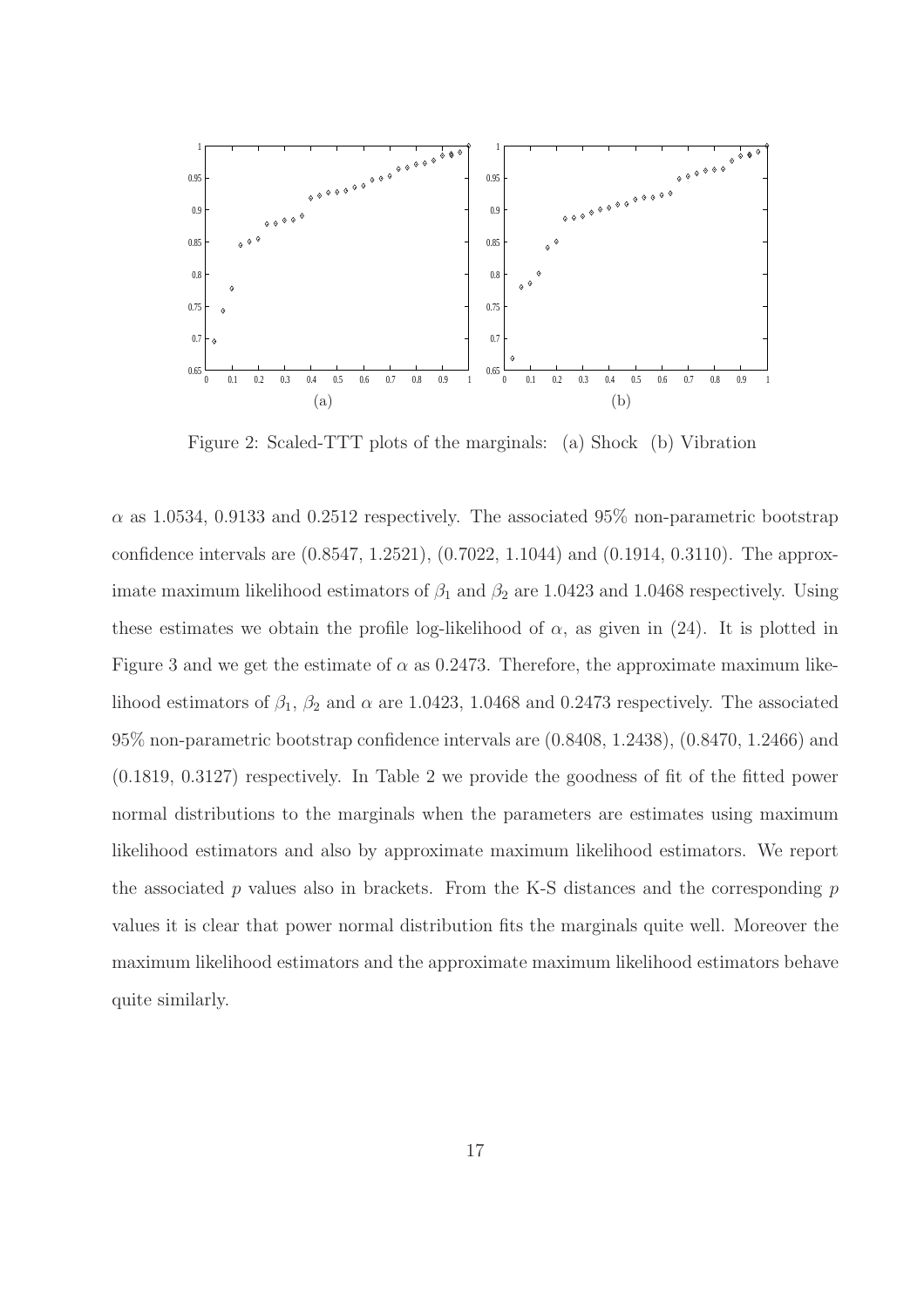

Figure 2: Scaled-TTT plots of the marginals: (a) Shock (b) Vibration

 $\alpha$  as 1.0534, 0.9133 and 0.2512 respectively. The associated 95% non-parametric bootstrap confidence intervals are (0.8547, 1.2521), (0.7022, 1.1044) and (0.1914, 0.3110). The approximate maximum likelihood estimators of  $\beta_1$  and  $\beta_2$  are 1.0423 and 1.0468 respectively. Using these estimates we obtain the profile log-likelihood of  $\alpha$ , as given in (24). It is plotted in Figure 3 and we get the estimate of  $\alpha$  as 0.2473. Therefore, the approximate maximum likelihood estimators of  $\beta_1$ ,  $\beta_2$  and  $\alpha$  are 1.0423, 1.0468 and 0.2473 respectively. The associated 95% non-parametric bootstrap confidence intervals are (0.8408, 1.2438), (0.8470, 1.2466) and (0.1819, 0.3127) respectively. In Table 2 we provide the goodness of fit of the fitted power normal distributions to the marginals when the parameters are estimates using maximum likelihood estimators and also by approximate maximum likelihood estimators. We report the associated  $p$  values also in brackets. From the K-S distances and the corresponding  $p$ values it is clear that power normal distribution fits the marginals quite well. Moreover the maximum likelihood estimators and the approximate maximum likelihood estimators behave quite similarly.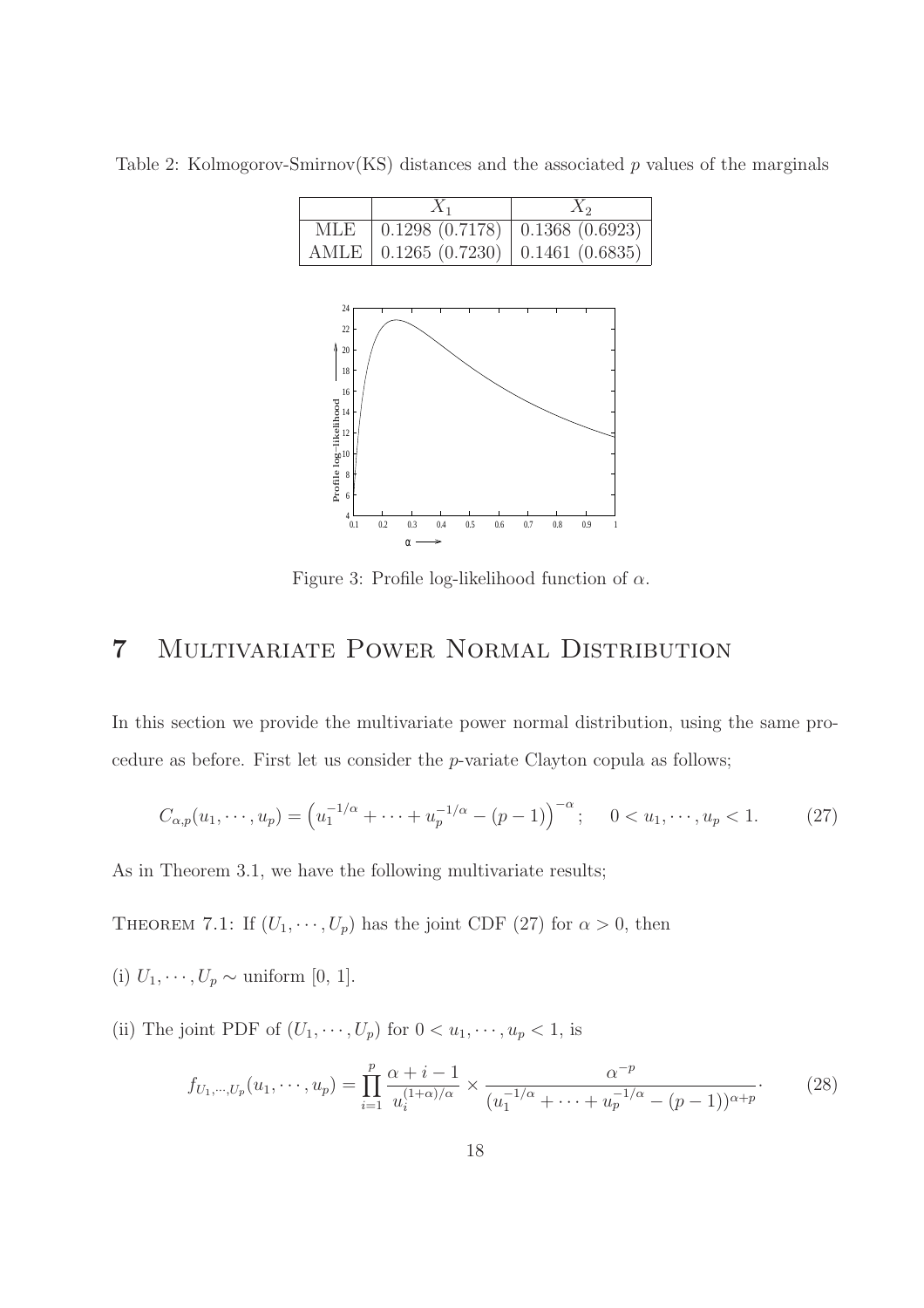$X_1$   $X_2$ MLE 0.1298 (0.7178) 0.1368 (0.6923) AMLE | 0.1265 (0.7230) | 0.1461 (0.6835) 18  $\frac{1}{20}$  22 24

Table 2: Kolmogorov-Smirnov(KS) distances and the associated  $p$  values of the marginals



## 7 Multivariate Power Normal Distribution

In this section we provide the multivariate power normal distribution, using the same procedure as before. First let us consider the p-variate Clayton copula as follows;

$$
C_{\alpha,p}(u_1,\dots,u_p) = \left(u_1^{-1/\alpha} + \dots + u_p^{-1/\alpha} - (p-1)\right)^{-\alpha}; \quad 0 < u_1,\dots,u_p < 1. \tag{27}
$$

As in Theorem 3.1, we have the following multivariate results;

THEOREM 7.1: If  $(U_1, \dots, U_p)$  has the joint CDF (27) for  $\alpha > 0$ , then

- (i)  $U_1, \dots, U_p \sim$  uniform [0, 1].
- (ii) The joint PDF of  $(U_1, \dots, U_p)$  for  $0 < u_1, \dots, u_p < 1$ , is

$$
f_{U_1,\dots,U_p}(u_1,\dots,u_p) = \prod_{i=1}^p \frac{\alpha+i-1}{u_i^{(1+\alpha)/\alpha}} \times \frac{\alpha^{-p}}{(u_1^{-1/\alpha}+\dots+u_p^{-1/\alpha}-(p-1))^{\alpha+p}}.
$$
 (28)

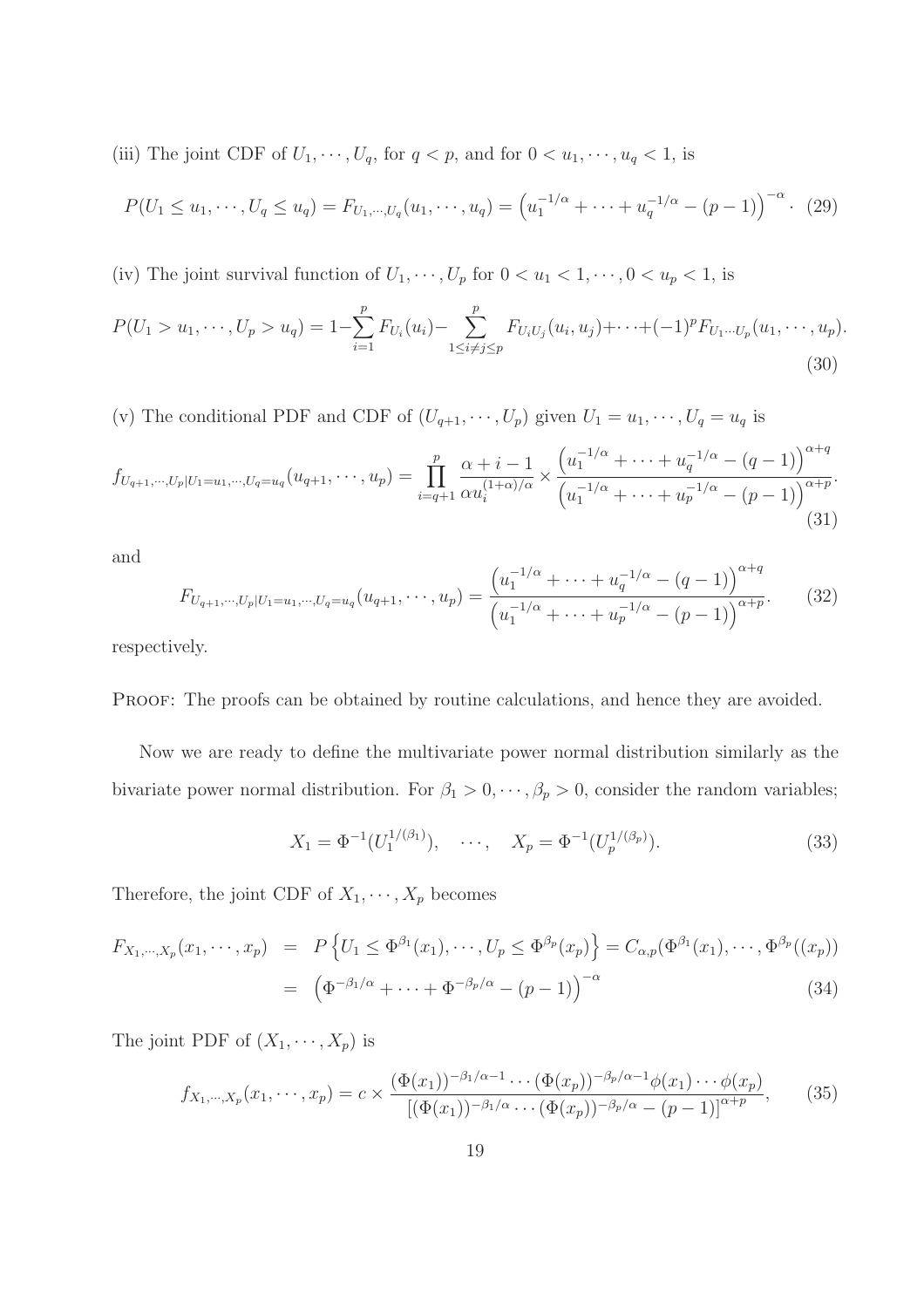(iii) The joint CDF of  $U_1, \dots, U_q$ , for  $q < p$ , and for  $0 < u_1, \dots, u_q < 1$ , is

$$
P(U_1 \le u_1, \cdots, U_q \le u_q) = F_{U_1, \cdots, U_q}(u_1, \cdots, u_q) = \left(u_1^{-1/\alpha} + \cdots + u_q^{-1/\alpha} - (p-1)\right)^{-\alpha}.
$$
 (29)

(iv) The joint survival function of  $U_1, \dots, U_p$  for  $0 < u_1 < 1, \dots, 0 < u_p < 1$ , is

$$
P(U_1 > u_1, \cdots, U_p > u_q) = 1 - \sum_{i=1}^p F_{U_i}(u_i) - \sum_{1 \le i \ne j \le p}^p F_{U_i U_j}(u_i, u_j) + \cdots + (-1)^p F_{U_1 \cdots U_p}(u_1, \cdots, u_p).
$$
\n(30)

(v) The conditional PDF and CDF of  $(U_{q+1}, \dots, U_p)$  given  $U_1 = u_1, \dots, U_q = u_q$  is

$$
f_{U_{q+1},\cdots,U_p|U_1=u_1,\cdots,U_q=u_q}(u_{q+1},\cdots,u_p) = \prod_{i=q+1}^p \frac{\alpha+i-1}{\alpha u_i^{(1+\alpha)/\alpha}} \times \frac{\left(u_1^{-1/\alpha}+\cdots+u_q^{-1/\alpha}-(q-1)\right)^{\alpha+q}}{\left(u_1^{-1/\alpha}+\cdots+u_p^{-1/\alpha}-(p-1)\right)^{\alpha+p}}.
$$
\n(31)

and

$$
F_{U_{q+1},\cdots,U_p|U_1=u_1,\cdots,U_q=u_q}(u_{q+1},\cdots,u_p) = \frac{\left(u_1^{-1/\alpha}+\cdots+u_q^{-1/\alpha}-(q-1)\right)^{\alpha+q}}{\left(u_1^{-1/\alpha}+\cdots+u_p^{-1/\alpha}-(p-1)\right)^{\alpha+p}}.\tag{32}
$$

respectively.

PROOF: The proofs can be obtained by routine calculations, and hence they are avoided.

Now we are ready to define the multivariate power normal distribution similarly as the bivariate power normal distribution. For  $\beta_1 > 0, \dots, \beta_p > 0$ , consider the random variables;

$$
X_1 = \Phi^{-1}(U_1^{1/(\beta_1)}), \quad \cdots, \quad X_p = \Phi^{-1}(U_p^{1/(\beta_p)}).
$$
 (33)

Therefore, the joint CDF of  $X_1, \dots, X_p$  becomes

$$
F_{X_1, \cdots, X_p}(x_1, \cdots, x_p) = P\left\{U_1 \le \Phi^{\beta_1}(x_1), \cdots, U_p \le \Phi^{\beta_p}(x_p)\right\} = C_{\alpha, p}(\Phi^{\beta_1}(x_1), \cdots, \Phi^{\beta_p}((x_p))
$$
  
= 
$$
\left(\Phi^{-\beta_1/\alpha} + \cdots + \Phi^{-\beta_p/\alpha} - (p-1)\right)^{-\alpha}
$$
(34)

The joint PDF of  $(X_1, \dots, X_p)$  is

$$
f_{X_1,\dots,X_p}(x_1,\dots,x_p) = c \times \frac{(\Phi(x_1))^{-\beta_1/\alpha-1}\cdots(\Phi(x_p))^{-\beta_p/\alpha-1}\phi(x_1)\cdots\phi(x_p)}{[(\Phi(x_1))^{-\beta_1/\alpha}\cdots(\Phi(x_p))^{-\beta_p/\alpha}-(p-1)]^{\alpha+p}},
$$
(35)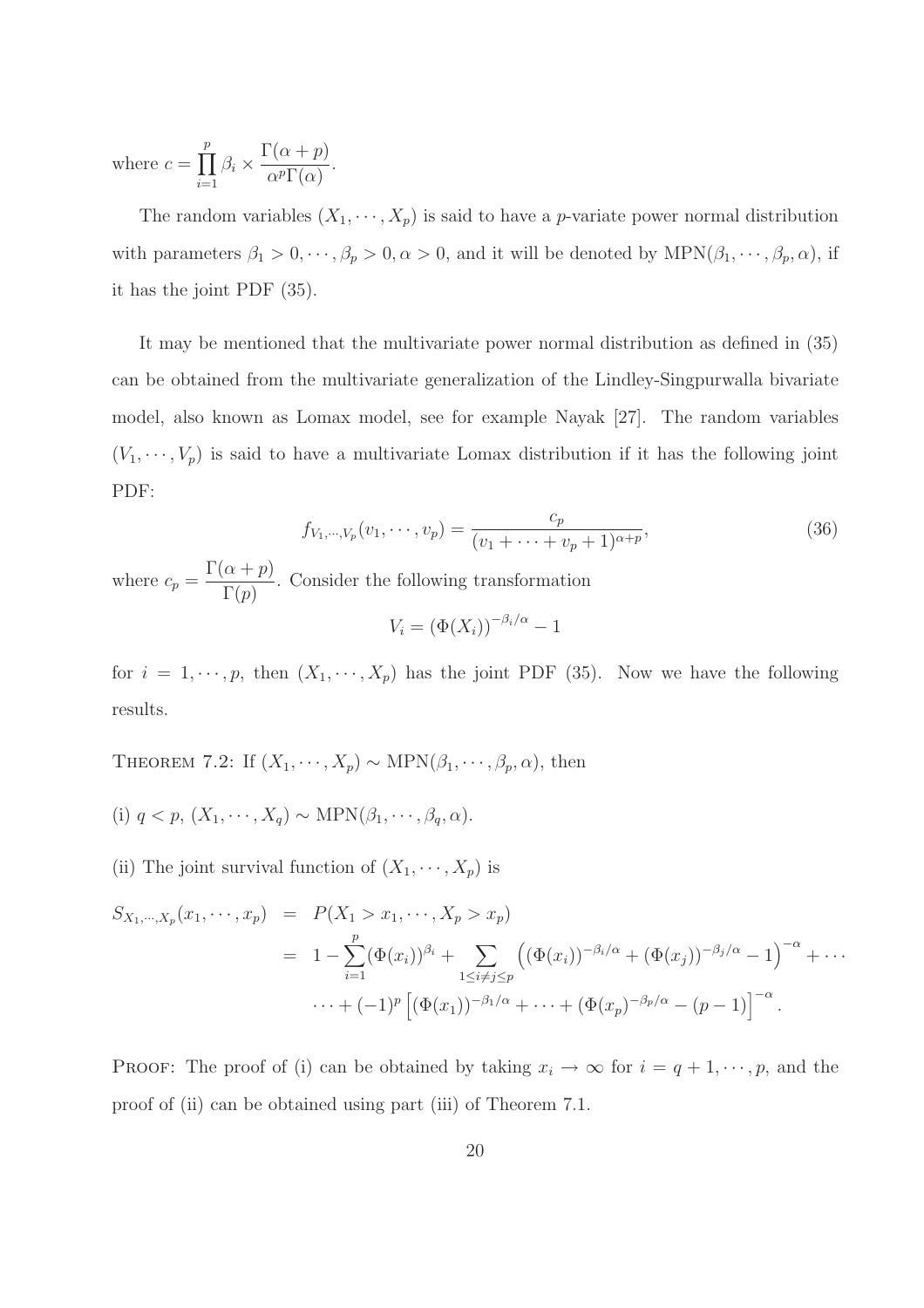where  $c = \prod^p$  $\prod_{i=1}$   $\beta_i$   $\times$  $\Gamma(\alpha+p)$  $\frac{\alpha + P}{\alpha^p \Gamma(\alpha)}$ .

The random variables  $(X_1, \dots, X_p)$  is said to have a *p*-variate power normal distribution with parameters  $\beta_1 > 0, \dots, \beta_p > 0, \alpha > 0$ , and it will be denoted by  $\text{MPN}(\beta_1, \dots, \beta_p, \alpha)$ , if it has the joint PDF (35).

It may be mentioned that the multivariate power normal distribution as defined in (35) can be obtained from the multivariate generalization of the Lindley-Singpurwalla bivariate model, also known as Lomax model, see for example Nayak [27]. The random variables  $(V_1, \dots, V_p)$  is said to have a multivariate Lomax distribution if it has the following joint PDF:

$$
f_{V_1,\dots,V_p}(v_1,\dots,v_p) = \frac{c_p}{(v_1+\dots+v_p+1)^{\alpha+p}},
$$
\n(36)

where  $c_p =$  $\Gamma(\alpha+p)$  $\Gamma(p)$ . Consider the following transformation  $V_i = (\Phi(X_i))^{-\beta_i/\alpha} - 1$ 

p, then 
$$
(X_1, \dots, X_p)
$$
 has the joint PDF (35). Now we have t

for  $i = 1, \dots, p$ , then  $(X_1, \dots, X_p)$  has the joint PDF (35). Now we have the following results.

THEOREM 7.2: If  $(X_1, \dots, X_p) \sim \text{MPN}(\beta_1, \dots, \beta_p, \alpha)$ , then

- (i)  $q < p$ ,  $(X_1, \dots, X_q) \sim \text{MPN}(\beta_1, \dots, \beta_q, \alpha)$ .
- (ii) The joint survival function of  $(X_1, \dots, X_p)$  is

$$
S_{X_1,\dots,X_p}(x_1,\dots,x_p) = P(X_1 > x_1,\dots,X_p > x_p)
$$
  
=  $1 - \sum_{i=1}^p (\Phi(x_i))^{\beta_i} + \sum_{1 \le i \ne j \le p} ((\Phi(x_i))^{-\beta_i/\alpha} + (\Phi(x_j))^{-\beta_j/\alpha} - 1)^{-\alpha} + \dots$   
 $\dots + (-1)^p [(\Phi(x_1))^{-\beta_1/\alpha} + \dots + (\Phi(x_p)^{-\beta_p/\alpha} - (p-1)]^{-\alpha}.$ 

PROOF: The proof of (i) can be obtained by taking  $x_i \to \infty$  for  $i = q + 1, \dots, p$ , and the proof of (ii) can be obtained using part (iii) of Theorem 7.1.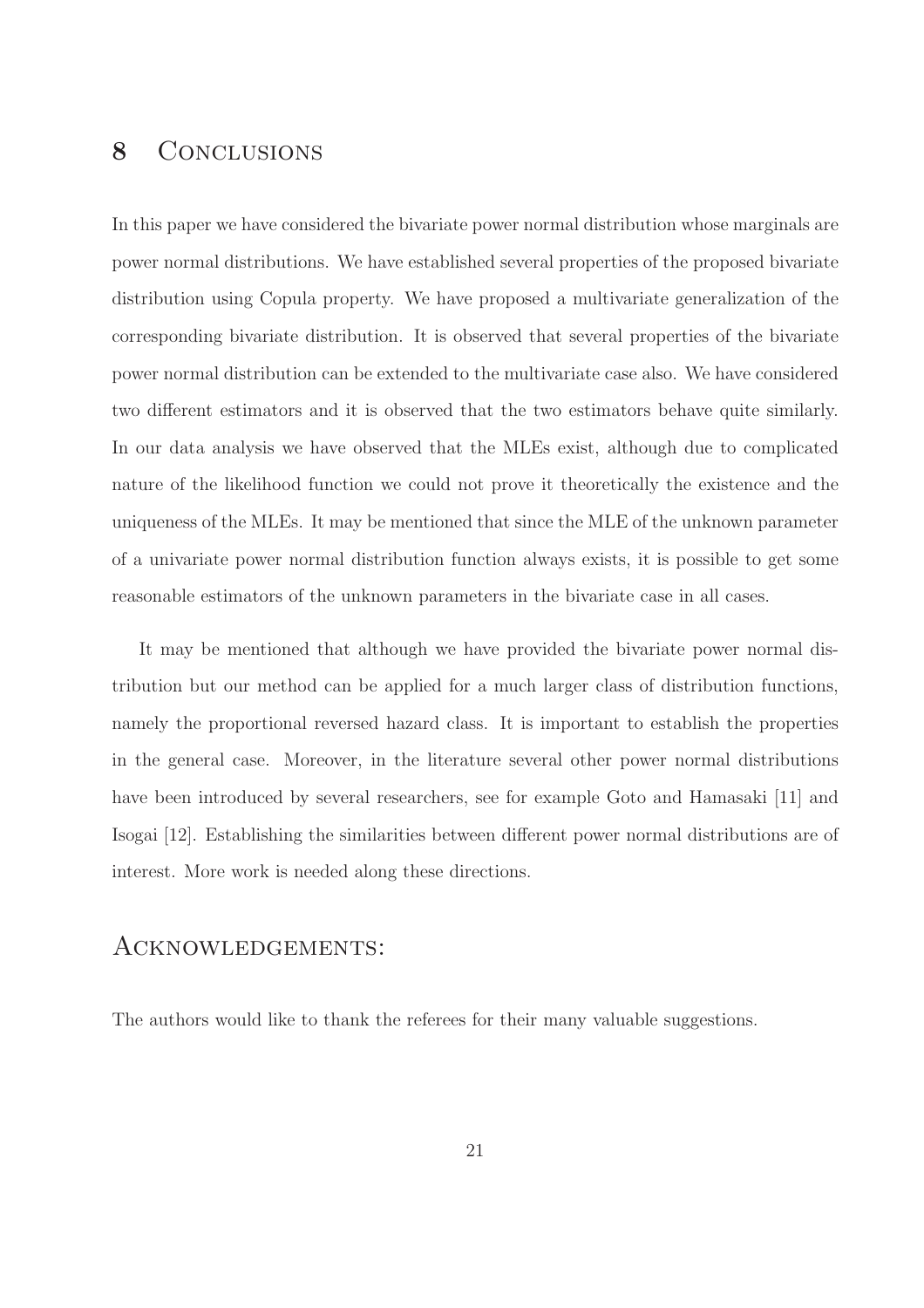### 8 CONCLUSIONS

In this paper we have considered the bivariate power normal distribution whose marginals are power normal distributions. We have established several properties of the proposed bivariate distribution using Copula property. We have proposed a multivariate generalization of the corresponding bivariate distribution. It is observed that several properties of the bivariate power normal distribution can be extended to the multivariate case also. We have considered two different estimators and it is observed that the two estimators behave quite similarly. In our data analysis we have observed that the MLEs exist, although due to complicated nature of the likelihood function we could not prove it theoretically the existence and the uniqueness of the MLEs. It may be mentioned that since the MLE of the unknown parameter of a univariate power normal distribution function always exists, it is possible to get some reasonable estimators of the unknown parameters in the bivariate case in all cases.

It may be mentioned that although we have provided the bivariate power normal distribution but our method can be applied for a much larger class of distribution functions, namely the proportional reversed hazard class. It is important to establish the properties in the general case. Moreover, in the literature several other power normal distributions have been introduced by several researchers, see for example Goto and Hamasaki [11] and Isogai [12]. Establishing the similarities between different power normal distributions are of interest. More work is needed along these directions.

### Acknowledgements:

The authors would like to thank the referees for their many valuable suggestions.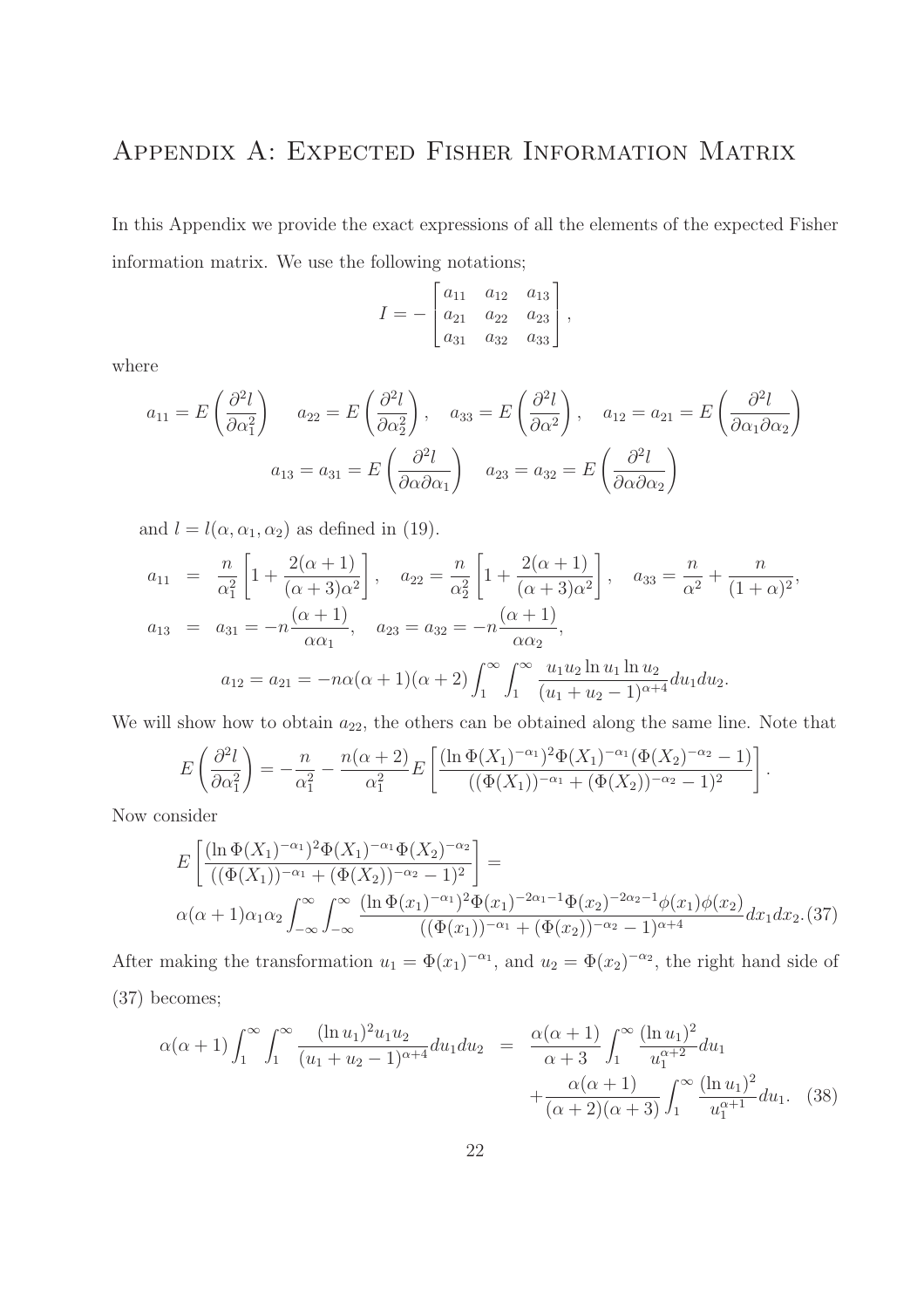# Appendix A: Expected Fisher Information Matrix

In this Appendix we provide the exact expressions of all the elements of the expected Fisher information matrix. We use the following notations;

$$
I = -\begin{bmatrix} a_{11} & a_{12} & a_{13} \\ a_{21} & a_{22} & a_{23} \\ a_{31} & a_{32} & a_{33} \end{bmatrix},
$$

where

$$
a_{11} = E\left(\frac{\partial^2 l}{\partial \alpha_1^2}\right) \quad a_{22} = E\left(\frac{\partial^2 l}{\partial \alpha_2^2}\right), \quad a_{33} = E\left(\frac{\partial^2 l}{\partial \alpha^2}\right), \quad a_{12} = a_{21} = E\left(\frac{\partial^2 l}{\partial \alpha_1 \partial \alpha_2}\right)
$$

$$
a_{13} = a_{31} = E\left(\frac{\partial^2 l}{\partial \alpha \partial \alpha_1}\right) \quad a_{23} = a_{32} = E\left(\frac{\partial^2 l}{\partial \alpha \partial \alpha_2}\right)
$$

and  $l = l(\alpha, \alpha_1, \alpha_2)$  as defined in (19).

$$
a_{11} = \frac{n}{\alpha_1^2} \left[ 1 + \frac{2(\alpha + 1)}{(\alpha + 3)\alpha^2} \right], \quad a_{22} = \frac{n}{\alpha_2^2} \left[ 1 + \frac{2(\alpha + 1)}{(\alpha + 3)\alpha^2} \right], \quad a_{33} = \frac{n}{\alpha^2} + \frac{n}{(1 + \alpha)^2},
$$
  

$$
a_{13} = a_{31} = -n \frac{(\alpha + 1)}{\alpha \alpha_1}, \quad a_{23} = a_{32} = -n \frac{(\alpha + 1)}{\alpha \alpha_2},
$$
  

$$
a_{12} = a_{21} = -n\alpha(\alpha + 1)(\alpha + 2) \int_1^\infty \int_1^\infty \frac{u_1 u_2 \ln u_1 \ln u_2}{(u_1 + u_2 - 1)^{\alpha + 4}} du_1 du_2.
$$

We will show how to obtain  $a_{22}$ , the others can be obtained along the same line. Note that

$$
E\left(\frac{\partial^2 l}{\partial \alpha_1^2}\right) = -\frac{n}{\alpha_1^2} - \frac{n(\alpha+2)}{\alpha_1^2} E\left[\frac{(\ln \Phi(X_1)^{-\alpha_1})^2 \Phi(X_1)^{-\alpha_1} (\Phi(X_2)^{-\alpha_2} - 1)}{((\Phi(X_1))^{-\alpha_1} + (\Phi(X_2))^{-\alpha_2} - 1)^2}\right]
$$

Now consider

$$
E\left[\frac{(\ln \Phi(X_1)^{-\alpha_1})^2 \Phi(X_1)^{-\alpha_1} \Phi(X_2)^{-\alpha_2}}{((\Phi(X_1))^{-\alpha_1} + (\Phi(X_2))^{-\alpha_2} - 1)^2}\right] =
$$
  
 
$$
\alpha(\alpha + 1)\alpha_1\alpha_2 \int_{-\infty}^{\infty} \int_{-\infty}^{\infty} \frac{(\ln \Phi(x_1)^{-\alpha_1})^2 \Phi(x_1)^{-2\alpha_1 - 1} \Phi(x_2)^{-2\alpha_2 - 1} \phi(x_1) \phi(x_2)}{((\Phi(x_1))^{-\alpha_1} + (\Phi(x_2))^{-\alpha_2} - 1)^{\alpha + 4}} dx_1 dx_2.(37)
$$

.

After making the transformation  $u_1 = \Phi(x_1)^{-\alpha_1}$ , and  $u_2 = \Phi(x_2)^{-\alpha_2}$ , the right hand side of (37) becomes;

$$
\alpha(\alpha+1)\int_{1}^{\infty}\int_{1}^{\infty}\frac{(\ln u_{1})^{2}u_{1}u_{2}}{(u_{1}+u_{2}-1)^{\alpha+4}}du_{1}du_{2} = \frac{\alpha(\alpha+1)}{\alpha+3}\int_{1}^{\infty}\frac{(\ln u_{1})^{2}}{u_{1}^{\alpha+2}}du_{1} + \frac{\alpha(\alpha+1)}{(\alpha+2)(\alpha+3)}\int_{1}^{\infty}\frac{(\ln u_{1})^{2}}{u_{1}^{\alpha+1}}du_{1}. \tag{38}
$$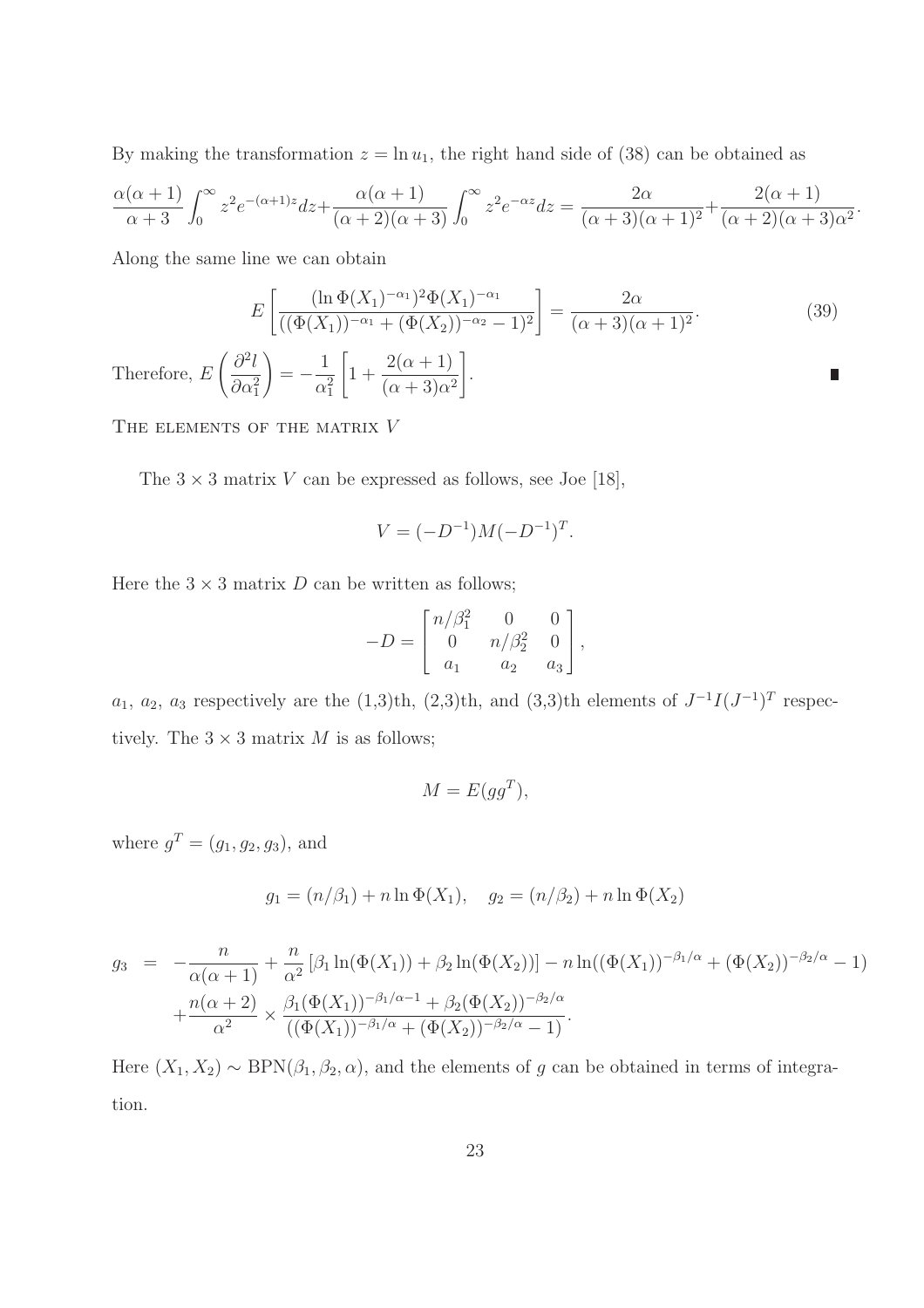By making the transformation  $z = \ln u_1$ , the right hand side of (38) can be obtained as

$$
\frac{\alpha(\alpha+1)}{\alpha+3}\int_0^\infty z^2e^{-(\alpha+1)z}dz + \frac{\alpha(\alpha+1)}{(\alpha+2)(\alpha+3)}\int_0^\infty z^2e^{-\alpha z}dz = \frac{2\alpha}{(\alpha+3)(\alpha+1)^2} + \frac{2(\alpha+1)}{(\alpha+2)(\alpha+3)\alpha^2}.
$$

Along the same line we can obtain

$$
E\left[\frac{(\ln \Phi(X_1)^{-\alpha_1})^2 \Phi(X_1)^{-\alpha_1}}{((\Phi(X_1))^{-\alpha_1} + (\Phi(X_2))^{-\alpha_2} - 1)^2}\right] = \frac{2\alpha}{(\alpha + 3)(\alpha + 1)^2}.
$$
 (39)

Π

Therefore, E  $\int$  ∂<sup>2</sup>l  $\partial \alpha_1^2$  $\setminus$ = − 1  $\alpha_1^2$  $\sqrt{ }$ 1 +  $2(\alpha+1)$  $(\alpha + 3)\alpha^2$ 1 .

THE ELEMENTS OF THE MATRIX V

The  $3 \times 3$  matrix V can be expressed as follows, see Joe [18],

$$
V = (-D^{-1})M(-D^{-1})^T.
$$

Here the  $3 \times 3$  matrix D can be written as follows;

$$
-D = \begin{bmatrix} n/\beta_1^2 & 0 & 0 \\ 0 & n/\beta_2^2 & 0 \\ a_1 & a_2 & a_3 \end{bmatrix},
$$

 $a_1, a_2, a_3$  respectively are the (1,3)th, (2,3)th, and (3,3)th elements of  $J^{-1}I(J^{-1})^T$  respectively. The  $3 \times 3$  matrix M is as follows;

$$
M = E(gg^T),
$$

where  $g^T = (g_1, g_2, g_3)$ , and

$$
g_1 = (n/\beta_1) + n \ln \Phi(X_1), \quad g_2 = (n/\beta_2) + n \ln \Phi(X_2)
$$

$$
g_3 = -\frac{n}{\alpha(\alpha+1)} + \frac{n}{\alpha^2} [\beta_1 \ln(\Phi(X_1)) + \beta_2 \ln(\Phi(X_2))] - n \ln((\Phi(X_1))^{-\beta_1/\alpha} + (\Phi(X_2))^{-\beta_2/\alpha} - 1) + \frac{n(\alpha+2)}{\alpha^2} \times \frac{\beta_1(\Phi(X_1))^{-\beta_1/\alpha-1} + \beta_2(\Phi(X_2))^{-\beta_2/\alpha}}{((\Phi(X_1))^{-\beta_1/\alpha} + (\Phi(X_2))^{-\beta_2/\alpha} - 1)}.
$$

Here  $(X_1, X_2) \sim \text{BPN}(\beta_1, \beta_2, \alpha)$ , and the elements of g can be obtained in terms of integration.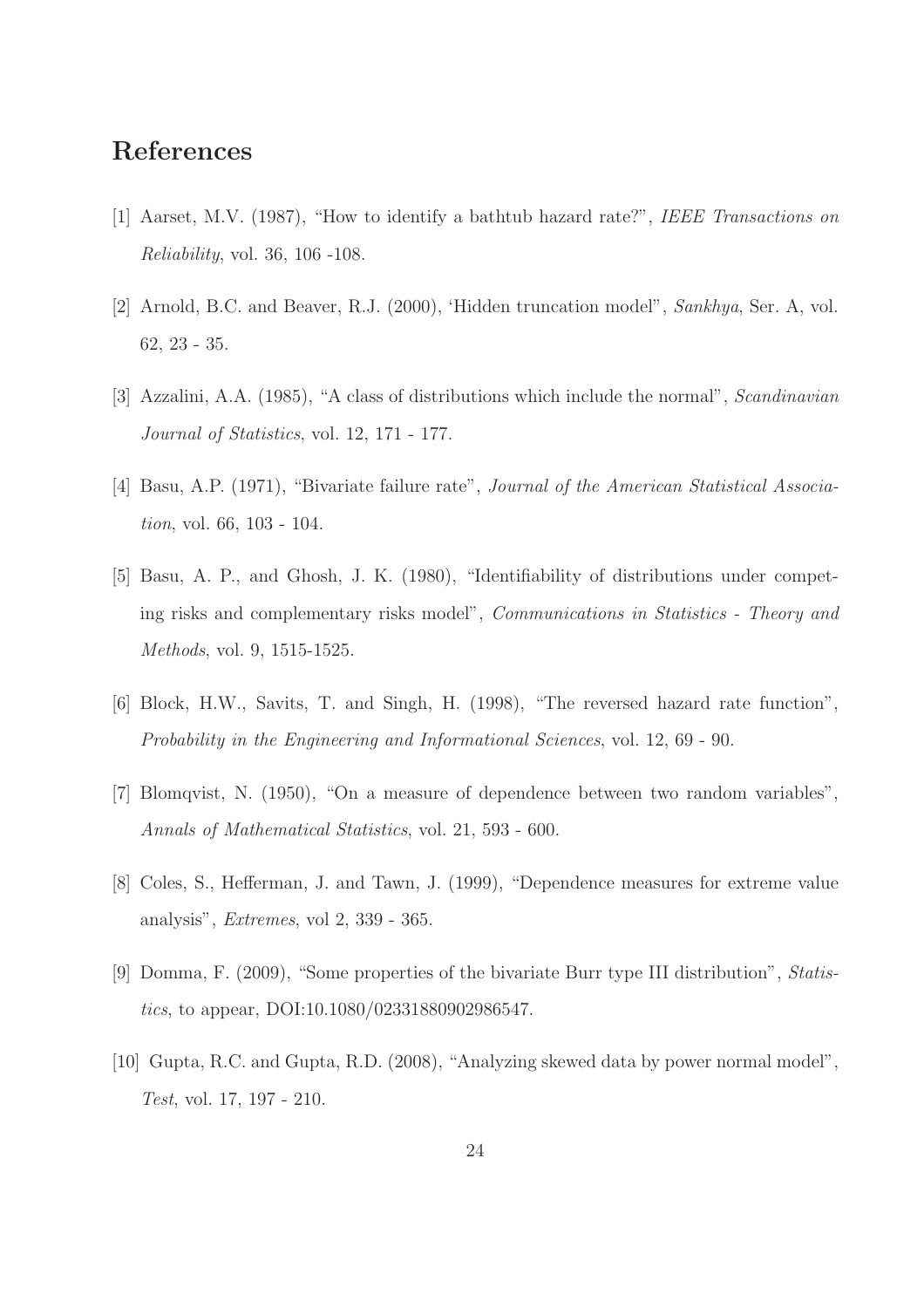## References

- [1] Aarset, M.V. (1987), "How to identify a bathtub hazard rate?", IEEE Transactions on Reliability, vol. 36, 106 -108.
- [2] Arnold, B.C. and Beaver, R.J. (2000), 'Hidden truncation model", Sankhya, Ser. A, vol. 62, 23 - 35.
- [3] Azzalini, A.A. (1985), "A class of distributions which include the normal", Scandinavian Journal of Statistics, vol. 12, 171 - 177.
- [4] Basu, A.P. (1971), "Bivariate failure rate", *Journal of the American Statistical Associa*tion, vol. 66, 103 - 104.
- [5] Basu, A. P., and Ghosh, J. K. (1980), "Identifiability of distributions under competing risks and complementary risks model", Communications in Statistics - Theory and Methods, vol. 9, 1515-1525.
- [6] Block, H.W., Savits, T. and Singh, H. (1998), "The reversed hazard rate function", Probability in the Engineering and Informational Sciences, vol. 12, 69 - 90.
- [7] Blomqvist, N. (1950), "On a measure of dependence between two random variables", Annals of Mathematical Statistics, vol. 21, 593 - 600.
- [8] Coles, S., Hefferman, J. and Tawn, J. (1999), "Dependence measures for extreme value analysis", Extremes, vol 2, 339 - 365.
- [9] Domma, F. (2009), "Some properties of the bivariate Burr type III distribution", Statistics, to appear, DOI:10.1080/02331880902986547.
- [10] Gupta, R.C. and Gupta, R.D. (2008), "Analyzing skewed data by power normal model", Test, vol. 17, 197 - 210.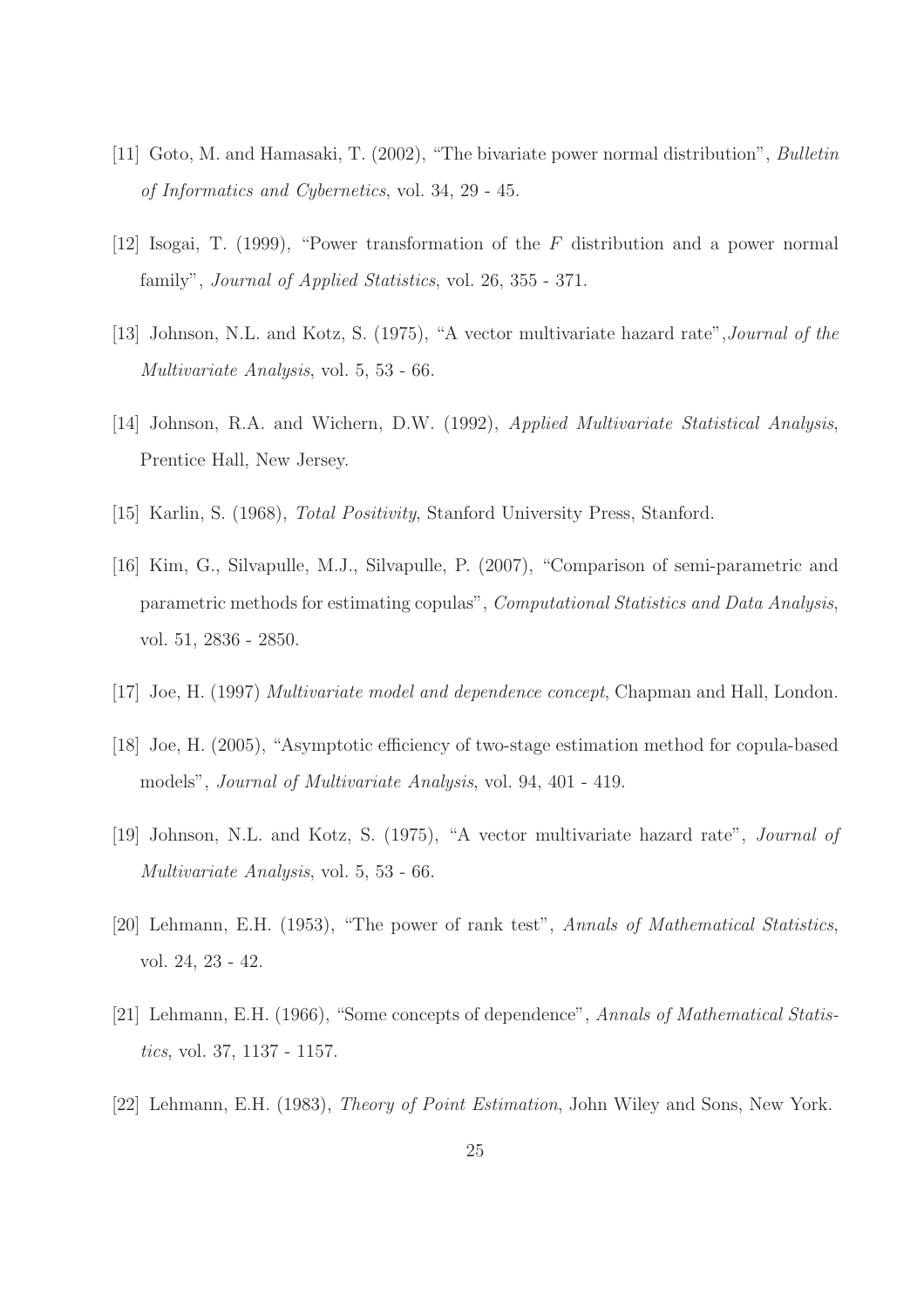- [11] Goto, M. and Hamasaki, T. (2002), "The bivariate power normal distribution", Bulletin of Informatics and Cybernetics, vol. 34, 29 - 45.
- [12] Isogai, T. (1999), "Power transformation of the F distribution and a power normal family", Journal of Applied Statistics, vol. 26, 355 - 371.
- [13] Johnson, N.L. and Kotz, S. (1975), "A vector multivariate hazard rate",Journal of the Multivariate Analysis, vol. 5, 53 - 66.
- [14] Johnson, R.A. and Wichern, D.W. (1992), Applied Multivariate Statistical Analysis, Prentice Hall, New Jersey.
- [15] Karlin, S. (1968), Total Positivity, Stanford University Press, Stanford.
- [16] Kim, G., Silvapulle, M.J., Silvapulle, P. (2007), "Comparison of semi-parametric and parametric methods for estimating copulas", Computational Statistics and Data Analysis, vol. 51, 2836 - 2850.
- [17] Joe, H. (1997) Multivariate model and dependence concept, Chapman and Hall, London.
- [18] Joe, H. (2005), "Asymptotic efficiency of two-stage estimation method for copula-based models", Journal of Multivariate Analysis, vol. 94, 401 - 419.
- [19] Johnson, N.L. and Kotz, S. (1975), "A vector multivariate hazard rate", Journal of Multivariate Analysis, vol. 5, 53 - 66.
- [20] Lehmann, E.H. (1953), "The power of rank test", Annals of Mathematical Statistics, vol. 24, 23 - 42.
- [21] Lehmann, E.H. (1966), "Some concepts of dependence", Annals of Mathematical Statistics, vol. 37, 1137 - 1157.
- [22] Lehmann, E.H. (1983), Theory of Point Estimation, John Wiley and Sons, New York.